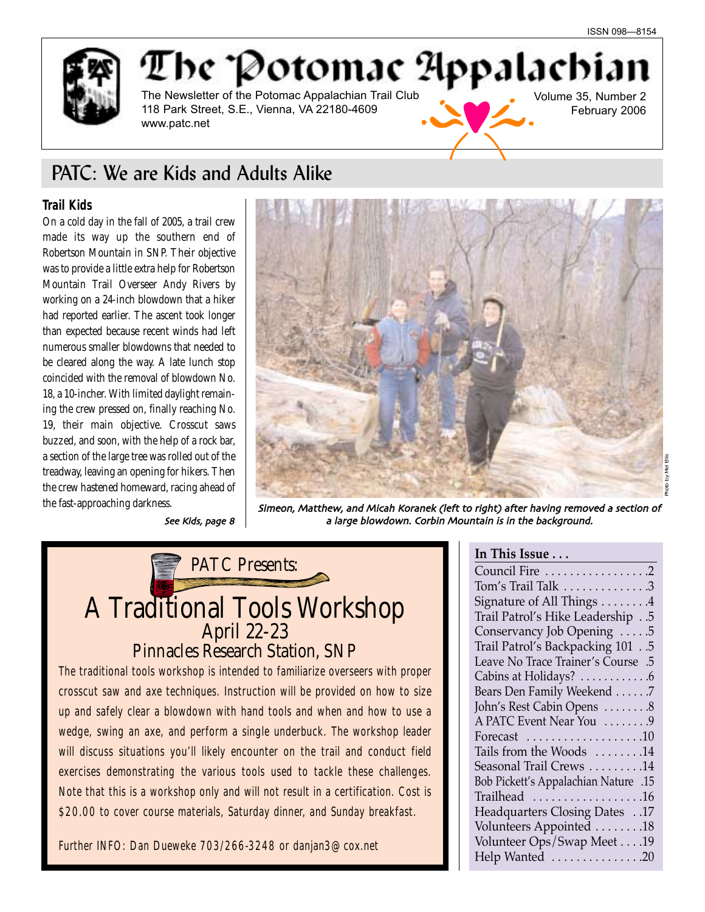



# PATC: We are Kids and Adults Alike

## **Trail Kids**

On a cold day in the fall of 2005, a trail crew made its way up the southern end of Robertson Mountain in SNP. Their objective was to provide a little extra help for Robertson Mountain Trail Overseer Andy Rivers by working on a 24-inch blowdown that a hiker had reported earlier. The ascent took longer than expected because recent winds had left numerous smaller blowdowns that needed to be cleared along the way. A late lunch stop coincided with the removal of blowdown No. 18, a 10-incher. With limited daylight remaining the crew pressed on, finally reaching No. 19, their main objective. Crosscut saws buzzed, and soon, with the help of a rock bar, a section of the large tree was rolled out of the treadway, leaving an opening for hikers. Then the crew hastened homeward, racing ahead of



the fast-approaching darkness. Simeon, Matthew, and Micah Koranek (left to right) after having removed a section of See Kids, page  $8 \mid$  a large blowdown. Corbin Mountain is in the background.

# PATC Presents: A Traditional Tools Workshop April 22-23 Pinnacles Research Station, SNP

The traditional tools workshop is intended to familiarize overseers with proper crosscut saw and axe techniques. Instruction will be provided on how to size up and safely clear a blowdown with hand tools and when and how to use a wedge, swing an axe, and perform a single underbuck. The workshop leader will discuss situations you'll likely encounter on the trail and conduct field exercises demonstrating the various tools used to tackle these challenges. Note that this is a workshop only and will not result in a certification. Cost is \$20.00 to cover course materials, Saturday dinner, and Sunday breakfast.

Further INFO: Dan Dueweke 703/266-3248 or danjan3@cox.net

## **In This Issue . . .**

| Council Fire 2                               |
|----------------------------------------------|
| Tom's Trail Talk 3                           |
| Signature of All Things 4                    |
| Trail Patrol's Hike Leadership 5             |
| Conservancy Job Opening 5                    |
| Trail Patrol's Backpacking 101 5             |
| Leave No Trace Trainer's Course .5           |
| Cabins at Holidays? 6                        |
| Bears Den Family Weekend 7                   |
| John's Rest Cabin Opens 8                    |
| A PATC Event Near You  9                     |
| Forecast $\dots\dots\dots\dots\dots\dots 10$ |
| Tails from the Woods 14                      |
| Seasonal Trail Crews 14                      |
| 15. Bob Pickett's Appalachian Nature         |
| Trailhead 16                                 |
| Headquarters Closing Dates 17                |
| Volunteers Appointed 18                      |
| Volunteer Ops/Swap Meet 19                   |
| Help Wanted 20                               |
|                                              |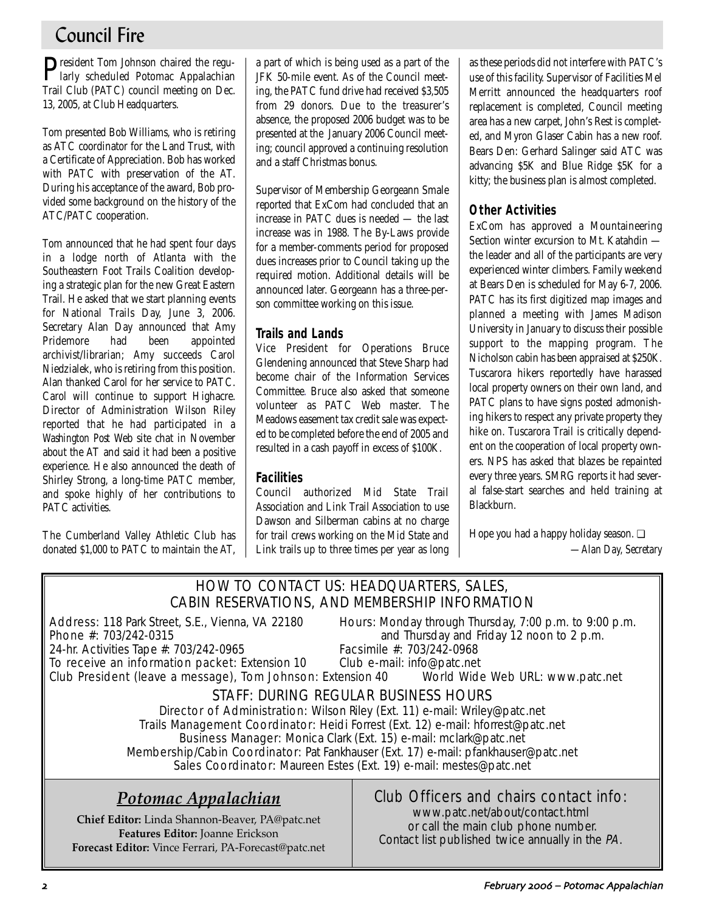# Council Fire

**P**resident Tom Johnson chaired the regu-<br>larly scheduled Potomac Appalachian Trail Club (PATC) council meeting on Dec. 13, 2005, at Club Headquarters.

Tom presented Bob Williams, who is retiring as ATC coordinator for the Land Trust, with a Certificate of Appreciation. Bob has worked with PATC with preservation of the AT. During his acceptance of the award, Bob provided some background on the history of the ATC/PATC cooperation.

Tom announced that he had spent four days in a lodge north of Atlanta with the Southeastern Foot Trails Coalition developing a strategic plan for the new Great Eastern Trail. He asked that we start planning events for National Trails Day, June 3, 2006. Secretary Alan Day announced that Amy Pridemore had been appointed archivist/librarian; Amy succeeds Carol Niedzialek, who is retiring from this position. Alan thanked Carol for her service to PATC. Carol will continue to support Highacre. Director of Administration Wilson Riley reported that he had participated in a *Washington Post* Web site chat in November about the AT and said it had been a positive experience. He also announced the death of Shirley Strong, a long-time PATC member, and spoke highly of her contributions to PATC activities.

The Cumberland Valley Athletic Club has donated \$1,000 to PATC to maintain the AT, a part of which is being used as a part of the JFK 50-mile event. As of the Council meeting, the PATC fund drive had received \$3,505 from 29 donors. Due to the treasurer's absence, the proposed 2006 budget was to be presented at the January 2006 Council meeting; council approved a continuing resolution and a staff Christmas bonus.

Supervisor of Membership Georgeann Smale reported that ExCom had concluded that an increase in PATC dues is needed — the last increase was in 1988. The By-Laws provide for a member-comments period for proposed dues increases prior to Council taking up the required motion. Additional details will be announced later. Georgeann has a three-person committee working on this issue.

## **Trails and Lands**

Vice President for Operations Bruce Glendening announced that Steve Sharp had become chair of the Information Services Committee. Bruce also asked that someone volunteer as PATC Web master. The Meadows easement tax credit sale was expected to be completed before the end of 2005 and resulted in a cash payoff in excess of \$100K.

## **Facilities**

Council authorized Mid State Trail Association and Link Trail Association to use Dawson and Silberman cabins at no charge for trail crews working on the Mid State and Link trails up to three times per year as long as these periods did not interfere with PATC's use of this facility. Supervisor of Facilities Mel Merritt announced the headquarters roof replacement is completed, Council meeting area has a new carpet, John's Rest is completed, and Myron Glaser Cabin has a new roof. Bears Den: Gerhard Salinger said ATC was advancing \$5K and Blue Ridge \$5K for a kitty; the business plan is almost completed.

## **Other Activities**

ExCom has approved a Mountaineering Section winter excursion to Mt. Katahdin the leader and all of the participants are very experienced winter climbers. Family weekend at Bears Den is scheduled for May 6-7, 2006. PATC has its first digitized map images and planned a meeting with James Madison University in January to discuss their possible support to the mapping program. The Nicholson cabin has been appraised at \$250K. Tuscarora hikers reportedly have harassed local property owners on their own land, and PATC plans to have signs posted admonishing hikers to respect any private property they hike on. Tuscarora Trail is critically dependent on the cooperation of local property owners. NPS has asked that blazes be repainted every three years. SMRG reports it had several false-start searches and held training at Blackburn.

Hope you had a happy holiday season. ❏ *—Alan Day, Secretary*

## HOW TO CONTACT US: HEADQUARTERS, SALES, CABIN RESERVATIONS, AND MEMBERSHIP INFORMATION

24-hr. Activities Tape #: 703/242-0965

Address: 118 Park Street, S.E., Vienna, VA 22180 Hours: Monday through Thursday, 7:00 p.m. to 9:00 p.m. **Phone #:** 703/242-0315 **and Thursday and Friday 12 noon to 2 p.m.**<br>24-hr. Activities Tape #: 703/242-0965 **Facsimile #:** 703/242-0968

To receive an information packet: Extension 10 Club e-mail: info@patc.net Club President (leave a message), Tom Johnson: Extension 40 World Wide Web URL: www.patc.net

## STAFF: DURING REGULAR BUSINESS HOURS

Director of Administration: Wilson Riley (Ext. 11) e-mail: Wriley@patc.net Trails Management Coordinator: Heidi Forrest (Ext. 12) e-mail: hforrest@patc.net Business Manager: Monica Clark (Ext. 15) e-mail: mclark@patc.net Membership/Cabin Coordinator: Pat Fankhauser (Ext. 17) e-mail: pfankhauser@patc.net Sales Coordinator: Maureen Estes (Ext. 19) e-mail: mestes@patc.net

# *Potomac Appalachian*

**Chief Editor:** Linda Shannon-Beaver, PA@patc.net **Features Editor:** Joanne Erickson **Forecast Editor:** Vince Ferrari, PA-Forecast@patc.net

## Club Officers and chairs contact info:

www.patc.net/about/contact.html or call the main club phone number. Contact list published twice annually in the PA.

February 2006 – Potomac Appalachian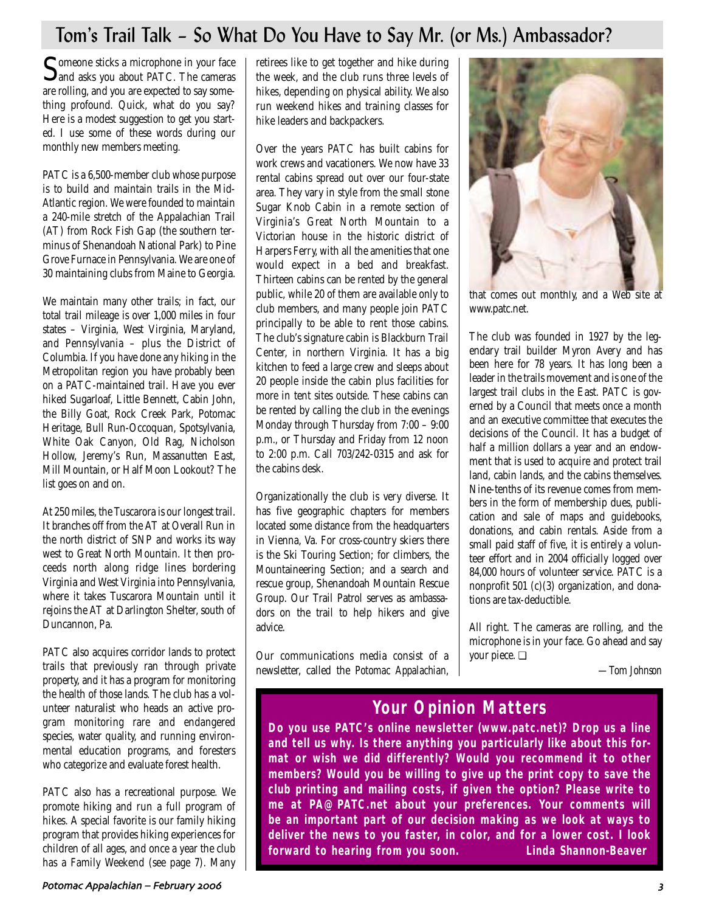# Tom's Trail Talk – So What Do You Have to Say Mr. (or Ms.) Ambassador?

Someone sticks a microphone in your face<br>and asks you about PATC. The cameras are rolling, and you are expected to say something profound. Quick, what do you say? Here is a modest suggestion to get you started. I use some of these words during our monthly new members meeting.

PATC is a 6,500-member club whose purpose is to build and maintain trails in the Mid-Atlantic region. We were founded to maintain a 240-mile stretch of the Appalachian Trail (AT) from Rock Fish Gap (the southern terminus of Shenandoah National Park) to Pine Grove Furnace in Pennsylvania. We are one of 30 maintaining clubs from Maine to Georgia.

We maintain many other trails; in fact, our total trail mileage is over 1,000 miles in four states – Virginia, West Virginia, Maryland, and Pennsylvania - plus the District of Columbia. If you have done any hiking in the Metropolitan region you have probably been on a PATC-maintained trail. Have you ever hiked Sugarloaf, Little Bennett, Cabin John, the Billy Goat, Rock Creek Park, Potomac Heritage, Bull Run-Occoquan, Spotsylvania, White Oak Canyon, Old Rag, Nicholson Hollow, Jeremy's Run, Massanutten East, Mill Mountain, or Half Moon Lookout? The list goes on and on.

At 250 miles, the Tuscarora is our longest trail. It branches off from the AT at Overall Run in the north district of SNP and works its way west to Great North Mountain. It then proceeds north along ridge lines bordering Virginia and West Virginia into Pennsylvania, where it takes Tuscarora Mountain until it rejoins the AT at Darlington Shelter, south of Duncannon, Pa.

PATC also acquires corridor lands to protect trails that previously ran through private property, and it has a program for monitoring the health of those lands. The club has a volunteer naturalist who heads an active program monitoring rare and endangered species, water quality, and running environmental education programs, and foresters who categorize and evaluate forest health.

PATC also has a recreational purpose. We promote hiking and run a full program of hikes. A special favorite is our family hiking program that provides hiking experiences for children of all ages, and once a year the club has a Family Weekend (see page 7). Many retirees like to get together and hike during the week, and the club runs three levels of hikes, depending on physical ability. We also run weekend hikes and training classes for hike leaders and backpackers.

Over the years PATC has built cabins for work crews and vacationers. We now have 33 rental cabins spread out over our four-state area. They vary in style from the small stone Sugar Knob Cabin in a remote section of Virginia's Great North Mountain to a Victorian house in the historic district of Harpers Ferry, with all the amenities that one would expect in a bed and breakfast. Thirteen cabins can be rented by the general public, while 20 of them are available only to club members, and many people join PATC principally to be able to rent those cabins. The club's signature cabin is Blackburn Trail Center, in northern Virginia. It has a big kitchen to feed a large crew and sleeps about 20 people inside the cabin plus facilities for more in tent sites outside. These cabins can be rented by calling the club in the evenings Monday through Thursday from 7:00 – 9:00 p.m., or Thursday and Friday from 12 noon to 2:00 p.m. Call 703/242-0315 and ask for the cabins desk.

Organizationally the club is very diverse. It has five geographic chapters for members located some distance from the headquarters in Vienna, Va. For cross-country skiers there is the Ski Touring Section; for climbers, the Mountaineering Section; and a search and rescue group, Shenandoah Mountain Rescue Group. Our Trail Patrol serves as ambassadors on the trail to help hikers and give advice.

Our communications media consist of a newsletter, called the *Potomac Appalachian*,



that comes out monthly, and a Web site at www.patc.net.

The club was founded in 1927 by the legendary trail builder Myron Avery and has been here for 78 years. It has long been a leader in the trails movement and is one of the largest trail clubs in the East. PATC is governed by a Council that meets once a month and an executive committee that executes the decisions of the Council. It has a budget of half a million dollars a year and an endowment that is used to acquire and protect trail land, cabin lands, and the cabins themselves. Nine-tenths of its revenue comes from members in the form of membership dues, publication and sale of maps and guidebooks, donations, and cabin rentals. Aside from a small paid staff of five, it is entirely a volunteer effort and in 2004 officially logged over 84,000 hours of volunteer service. PATC is a nonprofit 501 (c)(3) organization, and donations are tax-deductible.

All right. The cameras are rolling, and the microphone is in your face. Go ahead and say your piece. ❏

*—Tom Johnson*

# **Your Opinion Matters**

**Do you use PATC's online newsletter (www.patc.net)? Drop us a line and tell us why. Is there anything you particularly like about this format or wish we did differently? Would you recommend it to other members? Would you be willing to give up the print copy to save the club printing and mailing costs, if given the option? Please write to me at PA@PATC.net about your preferences. Your comments will be an important part of our decision making as we look at ways to deliver the news to you faster, in color, and for a lower cost. I look forward to hearing from you soon. Linda Shannon-Beaver**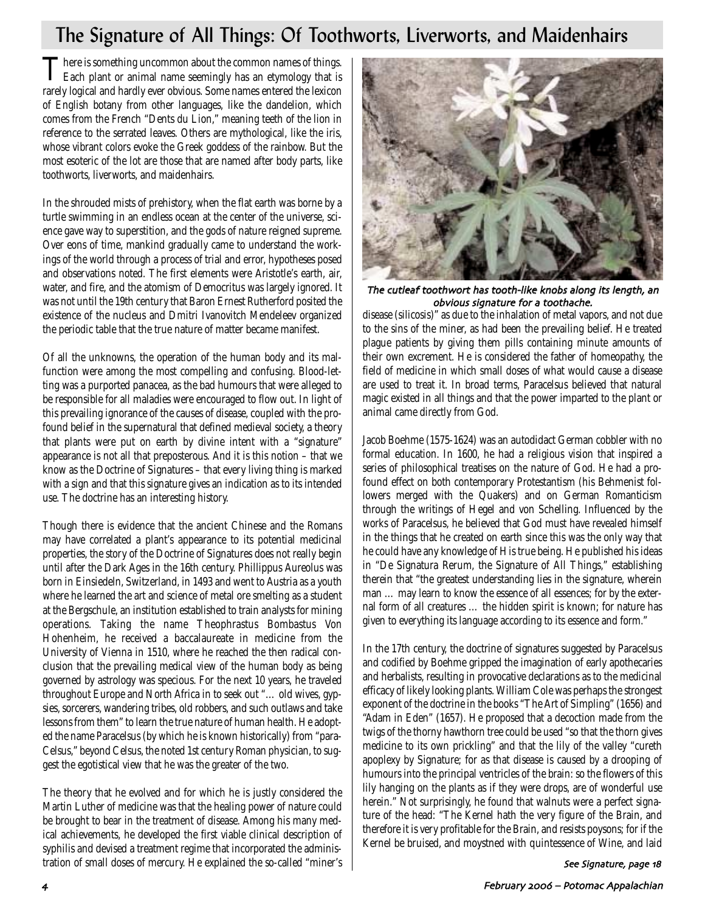# The Signature of All Things: Of Toothworts, Liverworts, and Maidenhairs

There is something uncommon about the common names of things.<br>Each plant or animal name seemingly has an etymology that is rarely logical and hardly ever obvious. Some names entered the lexicon of English botany from other languages, like the dandelion, which comes from the French "Dents du Lion," meaning teeth of the lion in reference to the serrated leaves. Others are mythological, like the iris, whose vibrant colors evoke the Greek goddess of the rainbow. But the most esoteric of the lot are those that are named after body parts, like toothworts, liverworts, and maidenhairs.

In the shrouded mists of prehistory, when the flat earth was borne by a turtle swimming in an endless ocean at the center of the universe, science gave way to superstition, and the gods of nature reigned supreme. Over eons of time, mankind gradually came to understand the workings of the world through a process of trial and error, hypotheses posed and observations noted. The first elements were Aristotle's earth, air, water, and fire, and the atomism of Democritus was largely ignored. It was not until the 19th century that Baron Ernest Rutherford posited the existence of the nucleus and Dmitri Ivanovitch Mendeleev organized the periodic table that the true nature of matter became manifest.

Of all the unknowns, the operation of the human body and its malfunction were among the most compelling and confusing. Blood-letting was a purported panacea, as the bad humours that were alleged to be responsible for all maladies were encouraged to flow out. In light of this prevailing ignorance of the causes of disease, coupled with the profound belief in the supernatural that defined medieval society, a theory that plants were put on earth by divine intent with a "signature" appearance is not all that preposterous. And it is this notion – that we know as the Doctrine of Signatures – that every living thing is marked with a sign and that this signature gives an indication as to its intended use. The doctrine has an interesting history.

Though there is evidence that the ancient Chinese and the Romans may have correlated a plant's appearance to its potential medicinal properties, the story of the Doctrine of Signatures does not really begin until after the Dark Ages in the 16th century. Phillippus Aureolus was born in Einsiedeln, Switzerland, in 1493 and went to Austria as a youth where he learned the art and science of metal ore smelting as a student at the Bergschule, an institution established to train analysts for mining operations. Taking the name Theophrastus Bombastus Von Hohenheim, he received a baccalaureate in medicine from the University of Vienna in 1510, where he reached the then radical conclusion that the prevailing medical view of the human body as being governed by astrology was specious. For the next 10 years, he traveled throughout Europe and North Africa in to seek out "… old wives, gypsies, sorcerers, wandering tribes, old robbers, and such outlaws and take lessons from them" to learn the true nature of human health. He adopted the name Paracelsus (by which he is known historically) from "para-Celsus," beyond Celsus, the noted 1st century Roman physician, to suggest the egotistical view that he was the greater of the two.

The theory that he evolved and for which he is justly considered the Martin Luther of medicine was that the healing power of nature could be brought to bear in the treatment of disease. Among his many medical achievements, he developed the first viable clinical description of syphilis and devised a treatment regime that incorporated the administration of small doses of mercury. He explained the so-called "miner's



The cutleaf toothwort has tooth-like knobs along its length, an obvious signature for a toothache

disease (silicosis)" as due to the inhalation of metal vapors, and not due to the sins of the miner, as had been the prevailing belief. He treated plague patients by giving them pills containing minute amounts of their own excrement. He is considered the father of homeopathy, the field of medicine in which small doses of what would cause a disease are used to treat it. In broad terms, Paracelsus believed that natural magic existed in all things and that the power imparted to the plant or animal came directly from God.

Jacob Boehme (1575-1624) was an autodidact German cobbler with no formal education. In 1600, he had a religious vision that inspired a series of philosophical treatises on the nature of God. He had a profound effect on both contemporary Protestantism (his Behmenist followers merged with the Quakers) and on German Romanticism through the writings of Hegel and von Schelling. Influenced by the works of Paracelsus, he believed that God must have revealed himself in the things that he created on earth since this was the only way that he could have any knowledge of His true being. He published his ideas in "De Signatura Rerum, the Signature of All Things," establishing therein that "the greatest understanding lies in the signature, wherein man … may learn to know the essence of all essences; for by the external form of all creatures … the hidden spirit is known; for nature has given to everything its language according to its essence and form."

In the 17th century, the doctrine of signatures suggested by Paracelsus and codified by Boehme gripped the imagination of early apothecaries and herbalists, resulting in provocative declarations as to the medicinal efficacy of likely looking plants. William Cole was perhaps the strongest exponent of the doctrine in the books "The Art of Simpling" (1656) and "Adam in Eden" (1657). He proposed that a decoction made from the twigs of the thorny hawthorn tree could be used "so that the thorn gives medicine to its own prickling" and that the lily of the valley "cureth apoplexy by Signature; for as that disease is caused by a drooping of humours into the principal ventricles of the brain: so the flowers of this lily hanging on the plants as if they were drops, are of wonderful use herein." Not surprisingly, he found that walnuts were a perfect signature of the head: "The Kernel hath the very figure of the Brain, and therefore it is very profitable for the Brain, and resists poysons; for if the Kernel be bruised, and moystned with quintessence of Wine, and laid

See Signature, page 18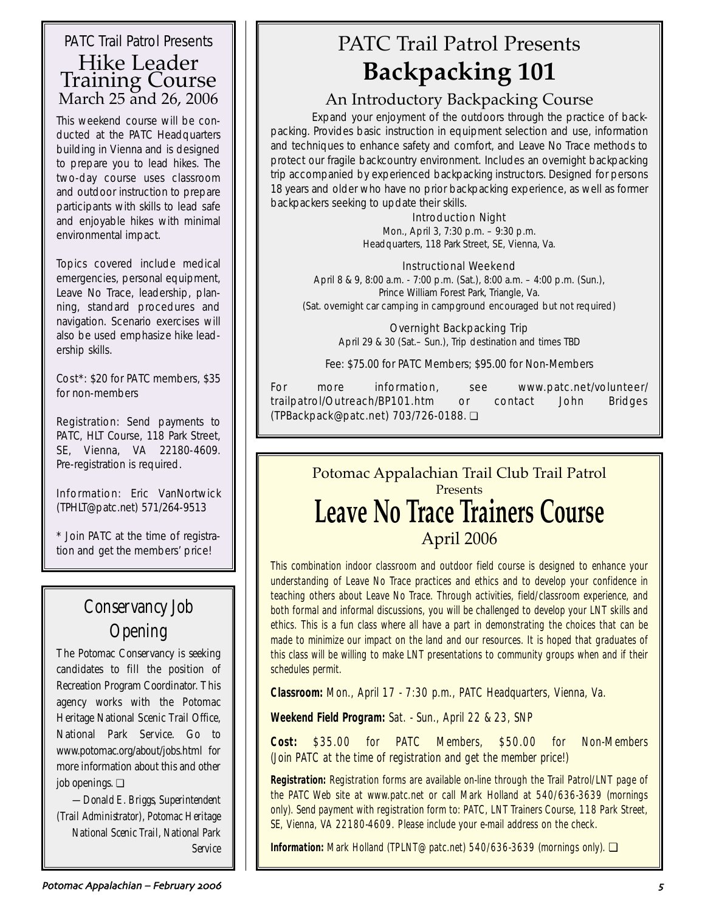## PATC Trail Patrol Presents Hike Leader Training Course March 25 and 26, 2006

This weekend course will be conducted at the PATC Headquarters building in Vienna and is designed to prepare you to lead hikes. The two-day course uses classroom and outdoor instruction to prepare participants with skills to lead safe and enjoyable hikes with minimal environmental impact.

Topics covered include medical emergencies, personal equipment, Leave No Trace, leadership, planning, standard procedures and navigation. Scenario exercises will also be used emphasize hike leadership skills.

Cost\*: \$20 for PATC members, \$35 for non-members

Registration: Send payments to PATC, HLT Course, 118 Park Street, SE, Vienna, VA 22180-4609. Pre-registration is required.

Information: Eric VanNortwick (TPHLT@patc.net) 571/264-9513

\* Join PATC at the time of registration and get the members' price!

# Conservancy Job Opening

The Potomac Conservancy is seeking candidates to fill the position of Recreation Program Coordinator. This agency works with the Potomac Heritage National Scenic Trail Office, National Park Service. Go to www.potomac.org/about/jobs.html for more information about this and other job openings. ❏

*—Donald E. Briggs, Superintendent (Trail Administrator), Potomac Heritage National Scenic Trail, National Park Service*

# PATC Trail Patrol Presents **Backpacking 101**

## An Introductory Backpacking Course

Expand your enjoyment of the outdoors through the practice of backpacking. Provides basic instruction in equipment selection and use, information and techniques to enhance safety and comfort, and Leave No Trace methods to protect our fragile backcountry environment. Includes an overnight backpacking trip accompanied by experienced backpacking instructors. Designed for persons 18 years and older who have no prior backpacking experience, as well as former backpackers seeking to update their skills.

## Introduction Night

Mon., April 3, 7:30 p.m. – 9:30 p.m. Headquarters, 118 Park Street, SE, Vienna, Va.

## Instructional Weekend

April 8 & 9, 8:00 a.m. - 7:00 p.m. (Sat.), 8:00 a.m. – 4:00 p.m. (Sun.), Prince William Forest Park, Triangle, Va. (Sat. overnight car camping in campground encouraged but not required)

> Overnight Backpacking Trip April 29 & 30 (Sat.– Sun.), Trip destination and times TBD

Fee: \$75.00 for PATC Members; \$95.00 for Non-Members

For more information, see www.patc.net/volunteer/ trailpatrol/Outreach/BP101.htm or contact John Bridges (TPBackpack@patc.net) 703/726-0188. ❏

## Potomac Appalachian Trail Club Trail Patrol Presents **Leave No Trace Trainers Course** April 2006

This combination indoor classroom and outdoor field course is designed to enhance your understanding of Leave No Trace practices and ethics and to develop your confidence in teaching others about Leave No Trace. Through activities, field/classroom experience, and both formal and informal discussions, you will be challenged to develop your LNT skills and ethics. This is a fun class where all have a part in demonstrating the choices that can be made to minimize our impact on the land and our resources. It is hoped that graduates of this class will be willing to make LNT presentations to community groups when and if their schedules permit.

**Classroom:** Mon., April 17 - 7:30 p.m., PATC Headquarters, Vienna, Va.

**Weekend Field Program:** Sat. - Sun., April 22 & 23, SNP

**Cost:** \$35.00 for PATC Members, \$50.00 for Non-Members (Join PATC at the time of registration and get the member price!)

**Registration:** Registration forms are available on-line through the Trail Patrol/LNT page of the PATC Web site at www.patc.net or call Mark Holland at 540/636-3639 (mornings only). Send payment with registration form to: PATC, LNT Trainers Course, 118 Park Street, SE, Vienna, VA 22180-4609. Please include your e-mail address on the check.

**Information:** Mark Holland (TPLNT@patc.net) 540/636-3639 (mornings only). ❏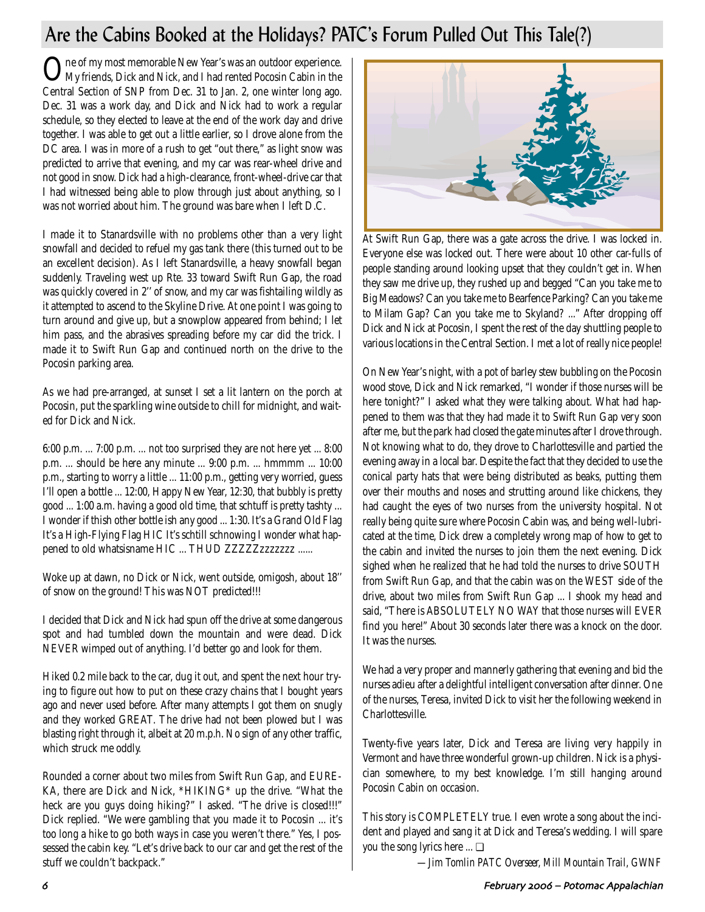# Are the Cabins Booked at the Holidays? PATC's Forum Pulled Out This Tale(?)

One of my most memorable New Year's was an outdoor experience. My friends, Dick and Nick, and I had rented Pocosin Cabin in the Central Section of SNP from Dec. 31 to Jan. 2, one winter long ago. Dec. 31 was a work day, and Dick and Nick had to work a regular schedule, so they elected to leave at the end of the work day and drive together. I was able to get out a little earlier, so I drove alone from the DC area. I was in more of a rush to get "out there," as light snow was predicted to arrive that evening, and my car was rear-wheel drive and not good in snow. Dick had a high-clearance, front-wheel-drive car that I had witnessed being able to plow through just about anything, so I was not worried about him. The ground was bare when I left D.C.

I made it to Stanardsville with no problems other than a very light snowfall and decided to refuel my gas tank there (this turned out to be an excellent decision). As I left Stanardsville, a heavy snowfall began suddenly. Traveling west up Rte. 33 toward Swift Run Gap, the road was quickly covered in 2'' of snow, and my car was fishtailing wildly as it attempted to ascend to the Skyline Drive. At one point I was going to turn around and give up, but a snowplow appeared from behind; I let him pass, and the abrasives spreading before my car did the trick. I made it to Swift Run Gap and continued north on the drive to the Pocosin parking area.

As we had pre-arranged, at sunset I set a lit lantern on the porch at Pocosin, put the sparkling wine outside to chill for midnight, and waited for Dick and Nick.

6:00 p.m. ... 7:00 p.m. ... not too surprised they are not here yet ... 8:00 p.m. ... should be here any minute ... 9:00 p.m. ... hmmmm ... 10:00 p.m., starting to worry a little ... 11:00 p.m., getting very worried, guess I'll open a bottle ... 12:00, Happy New Year, 12:30, that bubbly is pretty good ... 1:00 a.m. having a good old time, that schtuff is pretty tashty ... I wonder if thish other bottle ish any good ... 1:30. It's a Grand Old Flag It's a High-Flying Flag HIC It's schtill schnowing I wonder what happened to old whatsisname HIC ... THUD ZZZZZzzzzzzz ......

Woke up at dawn, no Dick or Nick, went outside, omigosh, about 18'' of snow on the ground! This was NOT predicted!!!

I decided that Dick and Nick had spun off the drive at some dangerous spot and had tumbled down the mountain and were dead. Dick NEVER wimped out of anything. I'd better go and look for them.

Hiked 0.2 mile back to the car, dug it out, and spent the next hour trying to figure out how to put on these crazy chains that I bought years ago and never used before. After many attempts I got them on snugly and they worked GREAT. The drive had not been plowed but I was blasting right through it, albeit at 20 m.p.h. No sign of any other traffic, which struck me oddly.

Rounded a corner about two miles from Swift Run Gap, and EURE-KA, there are Dick and Nick, \*HIKING\* up the drive. "What the heck are you guys doing hiking?" I asked. "The drive is closed!!!" Dick replied. "We were gambling that you made it to Pocosin ... it's too long a hike to go both ways in case you weren't there." Yes, I possessed the cabin key. "Let's drive back to our car and get the rest of the stuff we couldn't backpack."



At Swift Run Gap, there was a gate across the drive. I was locked in. Everyone else was locked out. There were about 10 other car-fulls of people standing around looking upset that they couldn't get in. When they saw me drive up, they rushed up and begged "Can you take me to Big Meadows? Can you take me to Bearfence Parking? Can you take me to Milam Gap? Can you take me to Skyland? ..." After dropping off Dick and Nick at Pocosin, I spent the rest of the day shuttling people to various locations in the Central Section. I met a lot of really nice people!

On New Year's night, with a pot of barley stew bubbling on the Pocosin wood stove, Dick and Nick remarked, "I wonder if those nurses will be here tonight?" I asked what they were talking about. What had happened to them was that they had made it to Swift Run Gap very soon after me, but the park had closed the gate minutes after I drove through. Not knowing what to do, they drove to Charlottesville and partied the evening away in a local bar. Despite the fact that they decided to use the conical party hats that were being distributed as beaks, putting them over their mouths and noses and strutting around like chickens, they had caught the eyes of two nurses from the university hospital. Not really being quite sure where Pocosin Cabin was, and being well-lubricated at the time, Dick drew a completely wrong map of how to get to the cabin and invited the nurses to join them the next evening. Dick sighed when he realized that he had told the nurses to drive SOUTH from Swift Run Gap, and that the cabin was on the WEST side of the drive, about two miles from Swift Run Gap ... I shook my head and said, "There is ABSOLUTELY NO WAY that those nurses will EVER find you here!" About 30 seconds later there was a knock on the door. It was the nurses.

We had a very proper and mannerly gathering that evening and bid the nurses adieu after a delightful intelligent conversation after dinner. One of the nurses, Teresa, invited Dick to visit her the following weekend in Charlottesville.

Twenty-five years later, Dick and Teresa are living very happily in Vermont and have three wonderful grown-up children. Nick is a physician somewhere, to my best knowledge. I'm still hanging around Pocosin Cabin on occasion.

This story is COMPLETELY true. I even wrote a song about the incident and played and sang it at Dick and Teresa's wedding. I will spare you the song lyrics here ... ❏

*—Jim Tomlin PATC Overseer, Mill Mountain Trail, GWNF*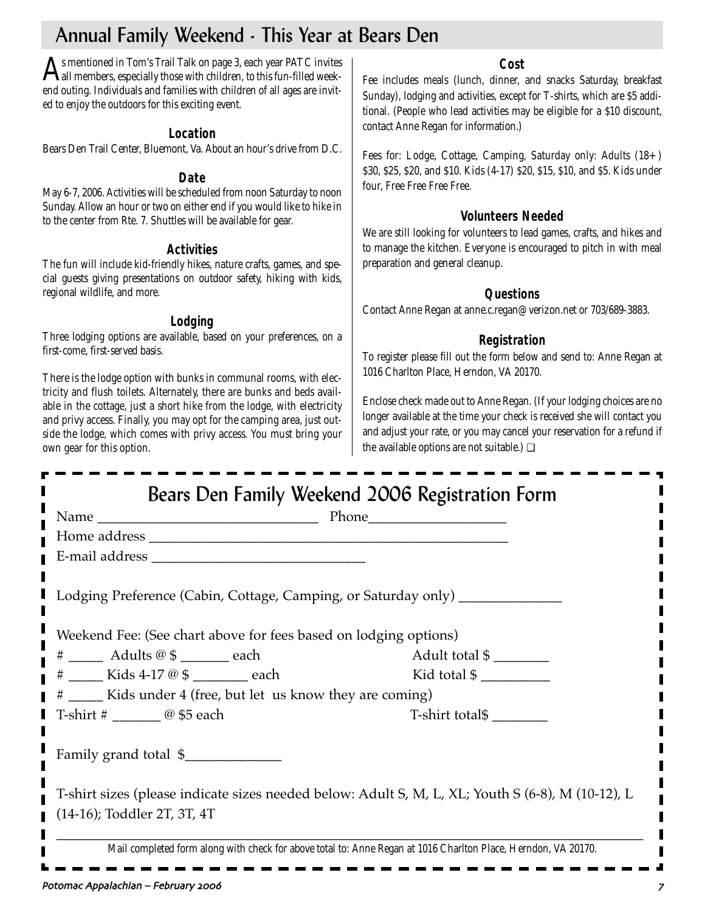# Annual Family Weekend - This Year at Bears Den

As mentioned in Tom's Trail Talk on page 3, each year PATC invites<br>all members, especially those with children, to this fun-filled weekend outing. Individuals and families with children of all ages are invited to enjoy the outdoors for this exciting event.

## **Location**

Bears Den Trail Center, Bluemont, Va. About an hour's drive from D.C.

## **Date**

May 6-7, 2006. Activities will be scheduled from noon Saturday to noon Sunday. Allow an hour or two on either end if you would like to hike in to the center from Rte. 7. Shuttles will be available for gear.

## **Activities**

The fun will include kid-friendly hikes, nature crafts, games, and special guests giving presentations on outdoor safety, hiking with kids, regional wildlife, and more.

## **Lodging**

Three lodging options are available, based on your preferences, on a first-come, first-served basis.

There is the lodge option with bunks in communal rooms, with electricity and flush toilets. Alternately, there are bunks and beds available in the cottage, just a short hike from the lodge, with electricity and privy access. Finally, you may opt for the camping area, just outside the lodge, which comes with privy access. You must bring your own gear for this option.

## **Cost**

Fee includes meals (lunch, dinner, and snacks Saturday, breakfast Sunday), lodging and activities, except for T-shirts, which are \$5 additional. (People who lead activities may be eligible for a \$10 discount, contact Anne Regan for information.)

Fees for: Lodge, Cottage, Camping, Saturday only: Adults (18+) \$30, \$25, \$20, and \$10. Kids (4-17) \$20, \$15, \$10, and \$5. Kids under four, Free Free Free Free.

## **Volunteers Needed**

We are still looking for volunteers to lead games, crafts, and hikes and to manage the kitchen. Everyone is encouraged to pitch in with meal preparation and general cleanup.

## **Questions**

Contact Anne Regan at anne.c.regan@verizon.net or 703/689-3883.

## **Registration**

To register please fill out the form below and send to: Anne Regan at 1016 Charlton Place, Herndon, VA 20170.

Enclose check made out to Anne Regan. (If your lodging choices are no longer available at the time your check is received she will contact you and adjust your rate, or you may cancel your reservation for a refund if the available options are not suitable.) ❏

|                                                                            | Bears Den Family Weekend 2006 Registration Form                                                                |  |  |  |  |
|----------------------------------------------------------------------------|----------------------------------------------------------------------------------------------------------------|--|--|--|--|
|                                                                            |                                                                                                                |  |  |  |  |
|                                                                            |                                                                                                                |  |  |  |  |
|                                                                            |                                                                                                                |  |  |  |  |
| Lodging Preference (Cabin, Cottage, Camping, or Saturday only) ___________ |                                                                                                                |  |  |  |  |
| Weekend Fee: (See chart above for fees based on lodging options)           |                                                                                                                |  |  |  |  |
| # ______ Adults @ \$ _______ each                                          | Adult total \$                                                                                                 |  |  |  |  |
| # _____ Kids 4-17 @ \$ ______ each                                         | Kid total $\frac{1}{2}$                                                                                        |  |  |  |  |
| # _____ Kids under 4 (free, but let us know they are coming)               |                                                                                                                |  |  |  |  |
| T-shirt $\#$ _______________ @ \$5 each                                    | T-shirt total\$                                                                                                |  |  |  |  |
| Family grand total \$                                                      |                                                                                                                |  |  |  |  |
| (14-16); Toddler 2T, 3T, 4T                                                | T-shirt sizes (please indicate sizes needed below: Adult S, M, L, XL; Youth S (6-8), M (10-12), L              |  |  |  |  |
|                                                                            | Mail completed form along with check for above total to: Anne Regan at 1016 Charlton Place, Herndon, VA 20170. |  |  |  |  |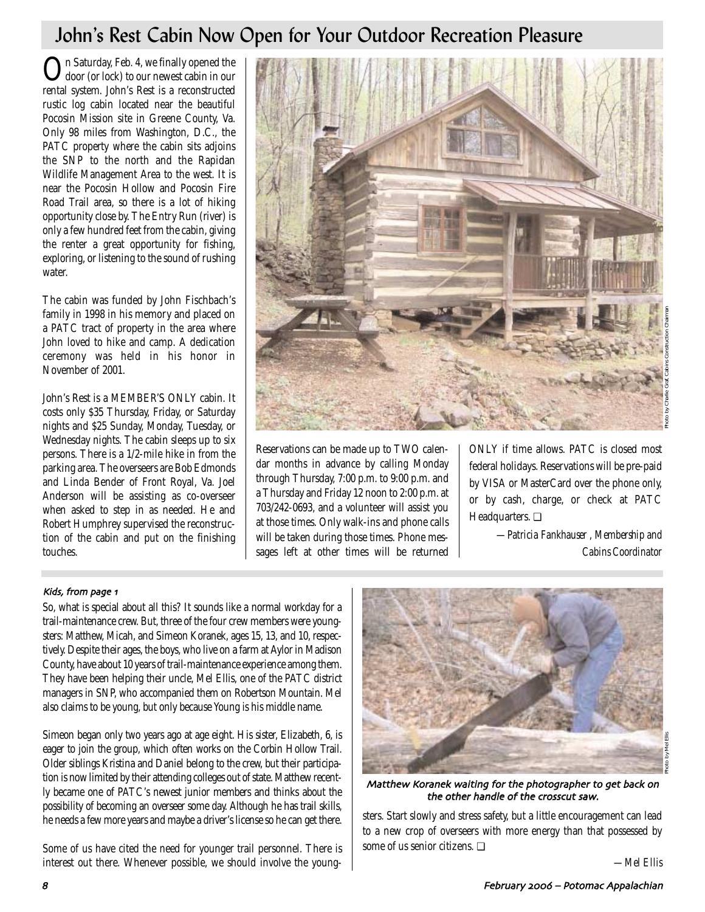# John's Rest Cabin Now Open for Your Outdoor Recreation Pleasure

On Saturday, Feb. 4, we finally opened the door (or lock) to our newest cabin in our rental system. John's Rest is a reconstructed rustic log cabin located near the beautiful Pocosin Mission site in Greene County, Va. Only 98 miles from Washington, D.C., the PATC property where the cabin sits adjoins the SNP to the north and the Rapidan Wildlife Management Area to the west. It is near the Pocosin Hollow and Pocosin Fire Road Trail area, so there is a lot of hiking opportunity close by. The Entry Run (river) is only a few hundred feet from the cabin, giving the renter a great opportunity for fishing, exploring, or listening to the sound of rushing water.

The cabin was funded by John Fischbach's family in 1998 in his memory and placed on a PATC tract of property in the area where John loved to hike and camp. A dedication ceremony was held in his honor in November of 2001.

John's Rest is a MEMBER'S ONLY cabin. It costs only \$35 Thursday, Friday, or Saturday nights and \$25 Sunday, Monday, Tuesday, or Wednesday nights. The cabin sleeps up to six persons. There is a 1/2-mile hike in from the parking area. The overseers are Bob Edmonds and Linda Bender of Front Royal, Va. Joel Anderson will be assisting as co-overseer when asked to step in as needed. He and Robert Humphrey supervised the reconstruction of the cabin and put on the finishing touches.



Reservations can be made up to TWO calendar months in advance by calling Monday through Thursday, 7:00 p.m. to 9:00 p.m. and a Thursday and Friday 12 noon to 2:00 p.m. at 703/242-0693, and a volunteer will assist you at those times. Only walk-ins and phone calls will be taken during those times. Phone messages left at other times will be returned ONLY if time allows. PATC is closed most federal holidays. Reservations will be pre-paid by VISA or MasterCard over the phone only, or by cash, charge, or check at PATC Headquarters. ❏

> *—Patricia Fankhauser , Membership and Cabins Coordinator*

## Kids, from page 1

So, what is special about all this? It sounds like a normal workday for a trail-maintenance crew. But, three of the four crew members were youngsters: Matthew, Micah, and Simeon Koranek, ages 15, 13, and 10, respectively. Despite their ages, the boys, who live on a farm at Aylor in Madison County, have about 10 years of trail-maintenance experience among them. They have been helping their uncle, Mel Ellis, one of the PATC district managers in SNP, who accompanied them on Robertson Mountain. Mel also claims to be young, but only because Young is his middle name.

Simeon began only two years ago at age eight. His sister, Elizabeth, 6, is eager to join the group, which often works on the Corbin Hollow Trail. Older siblings Kristina and Daniel belong to the crew, but their participation is now limited by their attending colleges out of state. Matthew recently became one of PATC's newest junior members and thinks about the possibility of becoming an overseer some day. Although he has trail skills, he needs a few more years and maybe a driver's license so he can get there.

Some of us have cited the need for younger trail personnel. There is interest out there. Whenever possible, we should involve the young-



Matthew Koranek waiting for the photographer to get back on the other handle of the crosscut saw

sters. Start slowly and stress safety, but a little encouragement can lead to a new crop of overseers with more energy than that possessed by some of us senior citizens. ❏

*—Mel Ellis*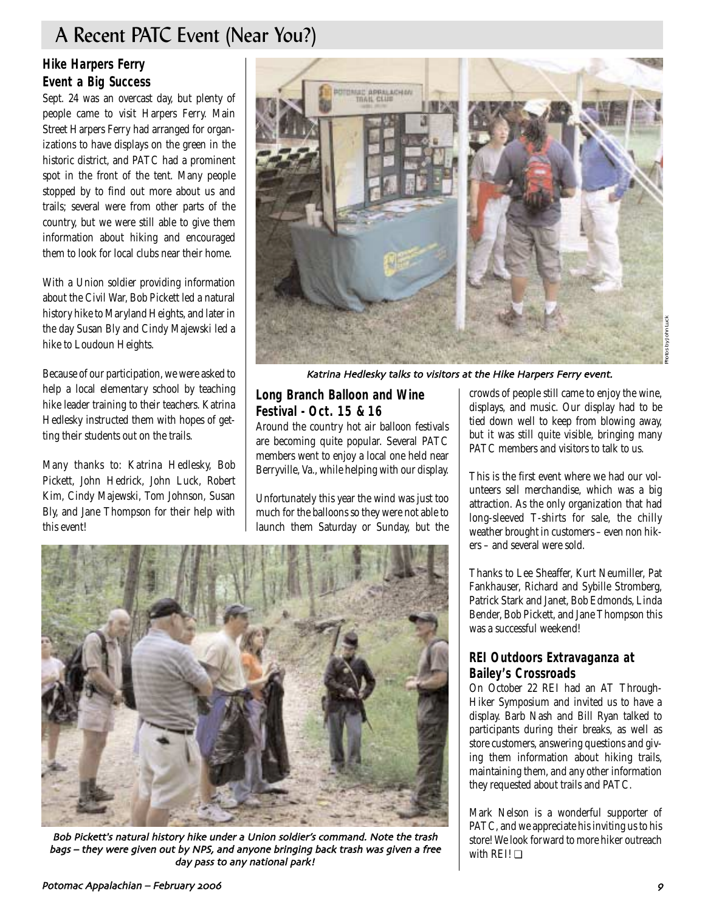# A Recent PATC Event (Near You?)

## **Hike Harpers Ferry Event a Big Success**

Sept. 24 was an overcast day, but plenty of people came to visit Harpers Ferry. Main Street Harpers Ferry had arranged for organizations to have displays on the green in the historic district, and PATC had a prominent spot in the front of the tent. Many people stopped by to find out more about us and trails; several were from other parts of the country, but we were still able to give them information about hiking and encouraged them to look for local clubs near their home.

With a Union soldier providing information about the Civil War, Bob Pickett led a natural history hike to Maryland Heights, and later in the day Susan Bly and Cindy Majewski led a hike to Loudoun Heights.

Because of our participation, we were asked to help a local elementary school by teaching hike leader training to their teachers. Katrina Hedlesky instructed them with hopes of getting their students out on the trails.

Many thanks to: Katrina Hedlesky, Bob Pickett, John Hedrick, John Luck, Robert Kim, Cindy Majewski, Tom Johnson, Susan Bly, and Jane Thompson for their help with this event!



Katrina Hedlesky talks to visitors at the Hike Harpers Ferry event

## **Long Branch Balloon and Wine Festival - Oct. 15 & 16**

Around the country hot air balloon festivals are becoming quite popular. Several PATC members went to enjoy a local one held near Berryville, Va., while helping with our display.

Unfortunately this year the wind was just too much for the balloons so they were not able to launch them Saturday or Sunday, but the crowds of people still came to enjoy the wine, displays, and music. Our display had to be tied down well to keep from blowing away, but it was still quite visible, bringing many PATC members and visitors to talk to us.

This is the first event where we had our volunteers sell merchandise, which was a big attraction. As the only organization that had long-sleeved T-shirts for sale, the chilly weather brought in customers – even non hikers – and several were sold.

Thanks to Lee Sheaffer, Kurt Neumiller, Pat Fankhauser, Richard and Sybille Stromberg, Patrick Stark and Janet, Bob Edmonds, Linda Bender, Bob Pickett, and Jane Thompson this was a successful weekend!

## **REI Outdoors Extravaganza at Bailey's Crossroads**

On October 22 REI had an AT Through-Hiker Symposium and invited us to have a display. Barb Nash and Bill Ryan talked to participants during their breaks, as well as store customers, answering questions and giving them information about hiking trails, maintaining them, and any other information they requested about trails and PATC.

Mark Nelson is a wonderful supporter of PATC, and we appreciate his inviting us to his store! We look forward to more hiker outreach with REI! ❏



Bob Pickett's natural history hike under a Union soldier's command. Note the trash bags - they were given out by NPS, and anyone bringing back trash was given a free day pass to any national park!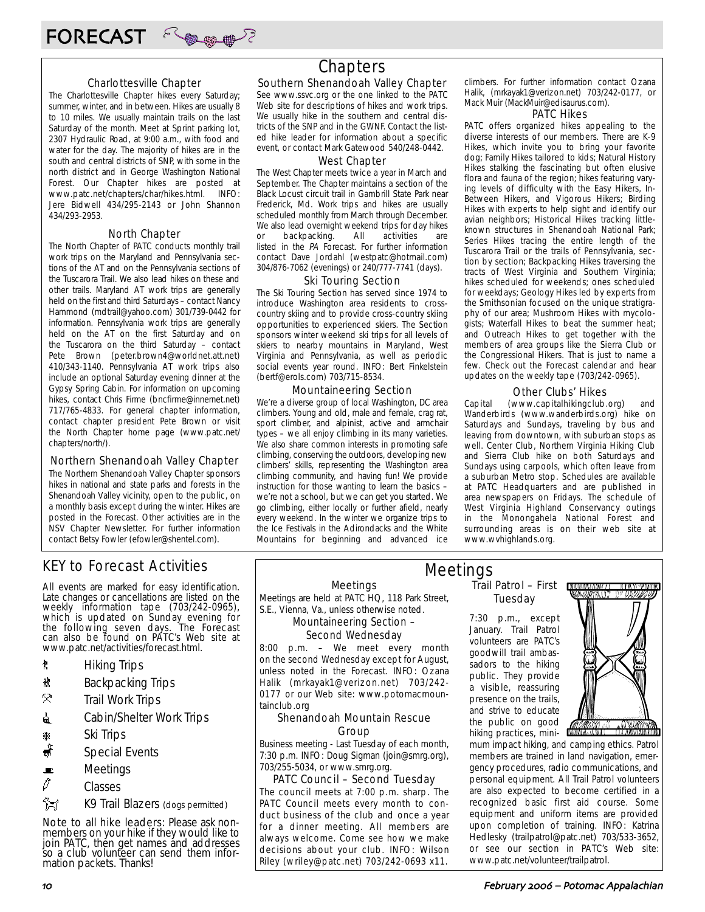



The Charlottesville Chapter hikes every Saturday; summer, winter, and in between. Hikes are usually 8 to 10 miles. We usually maintain trails on the last Saturday of the month. Meet at Sprint parking lot, 2307 Hydraulic Road, at 9:00 a.m., with food and water for the day. The majority of hikes are in the south and central districts of SNP, with some in the north district and in George Washington National Forest. Our Chapter hikes are posted at www.patc.net/chapters/char/hikes.html. INFO: Jere Bidwell 434/295-2143 or John Shannon 434/293-2953.

#### North Chapter

The North Chapter of PATC conducts monthly trail work trips on the Maryland and Pennsylvania sections of the AT and on the Pennsylvania sections of the Tuscarora Trail. We also lead hikes on these and other trails. Maryland AT work trips are generally held on the first and third Saturdays – contact Nancy Hammond (mdtrail@yahoo.com) 301/739-0442 for information. Pennsylvania work trips are generally held on the AT on the first Saturday and on the Tuscarora on the third Saturday – contact Pete Brown (peter.brown4@worldnet.att.net) 410/343-1140. Pennsylvania AT work trips also include an optional Saturday evening dinner at the Gypsy Spring Cabin. For information on upcoming hikes, contact Chris Firme (bncfirme@innernet.net) 717/765-4833. For general chapter information, contact chapter president Pete Brown or visit the North Chapter home page (www.patc.net/ chapters/north/).

#### Northern Shenandoah Valley Chapter

The Northern Shenandoah Valley Chapter sponsors hikes in national and state parks and forests in the Shenandoah Valley vicinity, open to the public, on a monthly basis except during the winter. Hikes are posted in the Forecast. Other activities are in the NSV Chapter Newsletter. For further information contact Betsy Fowler (efowler@shentel.com).

## KEY to Forecast Activities

All events are marked for easy identification. Late changes or cancellations are listed on the weekly information tape (703/242-0965), which is updated on Sunday evening for the following seven days. The Forecast can also be found on PATC's Web site at www.patc.net/activities/forecast.html.

- **\*** Hiking Trips
- \* Backpacking Trips
- $\mathcal{R}$  Trail Work Trips
- **i** Cabin/Shelter Work Trips
- **A** Ski Trips
- Special Events
- $\blacksquare$  Meetings
- $\varnothing$  Classes

 $\hat{}$  $\hat{}$  $\hat{}$  $\hat{}$ 

Note to all hike leaders: Please ask nonmembers on your hike if they would like to join PATC, then get names and addresses so a club volunteer can send them information packets. Thanks!

## Chapters

### Southern Shenandoah Valley Chapter

See www.ssvc.org or the one linked to the PATC Web site for descriptions of hikes and work trips. We usually hike in the southern and central districts of the SNP and in the GWNF. Contact the listed hike leader for information about a specific event, or contact Mark Gatewood 540/248-0442.

#### West Chapter

The West Chapter meets twice a year in March and September. The Chapter maintains a section of the Black Locust circuit trail in Gambrill State Park near Frederick, Md. Work trips and hikes are usually scheduled monthly from March through December. We also lead overnight weekend trips for day hikes or backpacking. All activities are listed in the PA Forecast. For further information contact Dave Jordahl (westpatc@hotmail.com) 304/876-7062 (evenings) or 240/777-7741 (days).

#### Ski Touring Section

The Ski Touring Section has served since 1974 to introduce Washington area residents to crosscountry skiing and to provide cross-country skiing opportunities to experienced skiers. The Section sponsors winter weekend ski trips for all levels of skiers to nearby mountains in Maryland, West Virginia and Pennsylvania, as well as periodic social events year round. INFO: Bert Finkelstein (bertf@erols.com) 703/715-8534.

#### Mountaineering Section

We're a diverse group of local Washington, DC area climbers. Young and old, male and female, crag rat, sport climber, and alpinist, active and armchair types – we all enjoy climbing in its many varieties. We also share common interests in promoting safe climbing, conserving the outdoors, developing new climbers' skills, representing the Washington area climbing community, and having fun! We provide instruction for those wanting to learn the basics – we're not a school, but we can get you started. We go climbing, either locally or further afield, nearly every weekend. In the winter we organize trips to the Ice Festivals in the Adirondacks and the White Mountains for beginning and advanced ice

climbers. For further information contact Ozana Halik, (mrkayak1@verizon.net) 703/242-0177, or Mack Muir (MackMuir@edisaurus.com).

#### PATC Hikes

PATC offers organized hikes appealing to the diverse interests of our members. There are K-9 Hikes, which invite you to bring your favorite dog; Family Hikes tailored to kids; Natural History Hikes stalking the fascinating but often elusive flora and fauna of the region; hikes featuring varying levels of difficulty with the Easy Hikers, In-Between Hikers, and Vigorous Hikers; Birding Hikes with experts to help sight and identify our avian neighbors; Historical Hikes tracking littleknown structures in Shenandoah National Park; Series Hikes tracing the entire length of the Tuscarora Trail or the trails of Pennsylvania, section by section; Backpacking Hikes traversing the tracts of West Virginia and Southern Virginia; hikes scheduled for weekends; ones scheduled for weekdays; Geology Hikes led by experts from the Smithsonian focused on the unique stratigraphy of our area; Mushroom Hikes with mycologists; Waterfall Hikes to beat the summer heat; and Outreach Hikes to get together with the members of area groups like the Sierra Club or the Congressional Hikers. That is just to name a few. Check out the Forecast calendar and hear updates on the weekly tape (703/242-0965).

#### Other Clubs' Hikes

Capital (www.capitalhikingclub.org) and Wanderbirds (www.wanderbirds.org) hike on Saturdays and Sundays, traveling by bus and leaving from downtown, with suburban stops as well. Center Club, Northern Virginia Hiking Club and Sierra Club hike on both Saturdays and Sundays using carpools, which often leave from a suburban Metro stop. Schedules are available at PATC Headquarters and are published in area newspapers on Fridays. The schedule of West Virginia Highland Conservancy outings in the Monongahela National Forest and surrounding areas is on their web site at www.wvhighlands.org.

Meetings

Meetings are held at PATC HQ, 118 Park Street, S.E., Vienna, Va., unless otherwise noted.

#### Mountaineering Section – Second Wednesday

8:00 p.m. – We meet every month on the second Wednesday except for August, unless noted in the Forecast. INFO: Ozana Halik (mrkayak1@verizon.net) 703/242- 0177 or our Web site: www.potomacmountainclub.org

#### Shenandoah Mountain Rescue Group

Business meeting - Last Tuesday of each month, 7:30 p.m. INFO: Doug Sigman (join@smrg.org), 703/255-5034, or www.smrg.org.

#### PATC Council – Second Tuesday

The council meets at 7:00 p.m. sharp. The PATC Council meets every month to conduct business of the club and once a year for a dinner meeting. All members are always welcome. Come see how we make decisions about your club. INFO: Wilson Riley (wriley@patc.net) 703/242-0693 x11.

Trail Patrol – First Tuesday Meetings

> 7:30 p.m., except January. Trail Patrol volunteers are PATC's goodwill trail ambassadors to the hiking public. They provide a visible, reassuring presence on the trails, and strive to educate the public on good hiking practices, mini-



mum impact hiking, and camping ethics. Patrol members are trained in land navigation, emergency procedures, radio communications, and personal equipment. All Trail Patrol volunteers are also expected to become certified in a recognized basic first aid course. Some equipment and uniform items are provided upon completion of training. INFO: Katrina Hedlesky (trailpatrol@patc.net) 703/533-3652, or see our section in PATC's Web site: www.patc.net/volunteer/trailpatrol.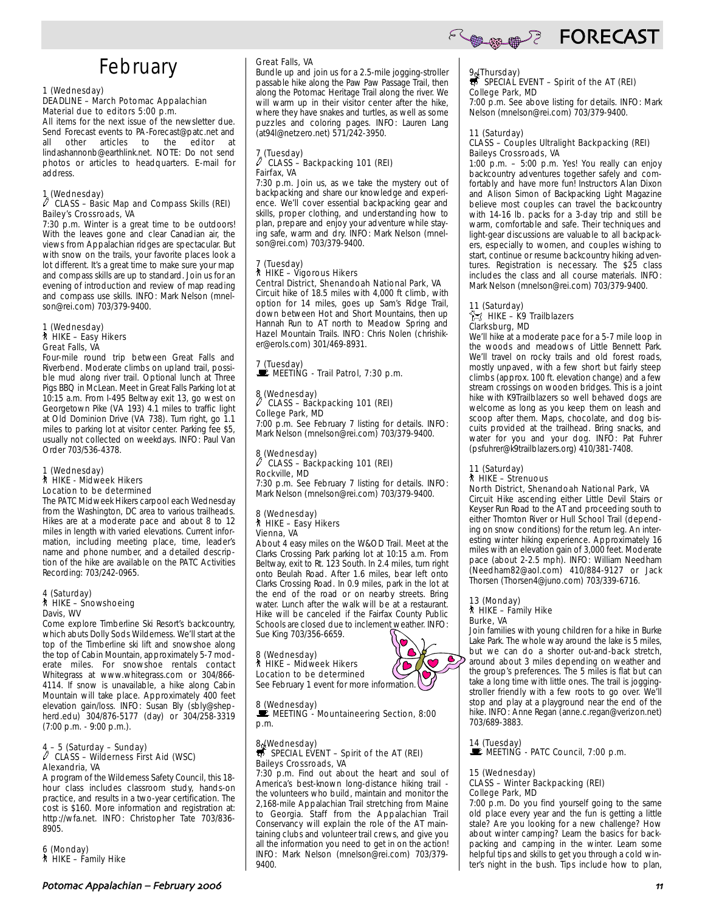# February

## 1 (Wednesday)

#### DEADLINE – March Potomac Appalachian Material due to editors 5:00 p.m.

All items for the next issue of the newsletter due. Send Forecast events to PA-Forecast@patc.net and other articles to the editor at lindashannonb@earthlink.net. NOTE: Do not send photos or articles to headquarters. E-mail for address.

#### 1 (Wednesday)

#### $\ell$  CLASS – Basic Map and Compass Skills (REI) Bailey's Crossroads, VA

7:30 p.m. Winter is a great time to be outdoors! With the leaves gone and clear Canadian air, the views from Appalachian ridges are spectacular. But with snow on the trails, your favorite places look a lot different. It's a great time to make sure your map and compass skills are up to standard. Join us for an evening of introduction and review of map reading and compass use skills. INFO: Mark Nelson (mnelson@rei.com) 703/379-9400.

#### 1 (Wednesday) ` HIKE – Easy Hikers Great Falls, VA

Four-mile round trip between Great Falls and Riverbend. Moderate climbs on upland trail, possible mud along river trail. Optional lunch at Three Pigs BBQ in McLean. Meet in Great Falls Parking lot at 10:15 a.m. From I-495 Beltway exit 13, go west on Georgetown Pike (VA 193) 4.1 miles to traffic light at Old Dominion Drive (VA 738). Turn right, go 1.1 miles to parking lot at visitor center. Parking fee \$5, usually not collected on weekdays. INFO: Paul Van Order 703/536-4378.

#### 1 (Wednesday) ` HIKE - Midweek Hikers Location to be determined

The PATC Midweek Hikers carpool each Wednesday from the Washington, DC area to various trailheads. Hikes are at a moderate pace and about 8 to 12 miles in length with varied elevations. Current information, including meeting place, time, leader's name and phone number, and a detailed description of the hike are available on the PATC Activities Recording: 703/242-0965.

## 4 (Saturday) ` HIKE – Snowshoeing Davis, WV

Come explore Timberline Ski Resort's backcountry, which abuts Dolly Sods Wilderness. We'll start at the top of the Timberline ski lift and snowshoe along the top of Cabin Mountain, approximately 5-7 moderate miles. For snowshoe rentals contact Whitegrass at www.whitegrass.com or 304/866- 4114. If snow is unavailable, a hike along Cabin Mountain will take place. Approximately 400 feet elevation gain/loss. INFO: Susan Bly (sbly@shepherd.edu) 304/876-5177 (day) or 304/258-3319 (7:00 p.m. - 9:00 p.m.).

## 4 – 5 (Saturday – Sunday) a CLASS – Wilderness First Aid (WSC) Alexandria, VA

A program of the Wilderness Safety Council, this 18 hour class includes classroom study, hands-on practice, and results in a two-year certification. The cost is \$160. More information and registration at: http://wfa.net. INFO: Christopher Tate 703/836- 8905.

6 (Monday) ` HIKE – Family Hike

#### Great Falls, VA

Bundle up and join us for a 2.5-mile jogging-stroller passable hike along the Paw Paw Passage Trail, then along the Potomac Heritage Trail along the river. We will warm up in their visitor center after the hike, where they have snakes and turtles, as well as some puzzles and coloring pages. INFO: Lauren Lang (at94l@netzero.net) 571/242-3950.

#### $\frac{7}{\ell}$  (Tuesday) CLASS – Backpacking 101 (REI) Fairfax, VA

7:30 p.m. Join us, as we take the mystery out of backpacking and share our knowledge and experience. We'll cover essential backpacking gear and skills, proper clothing, and understanding how to plan, prepare and enjoy your adventure while staying safe, warm and dry. INFO: Mark Nelson (mnelson@rei.com) 703/379-9400.

#### 7 (Tuesday) ` HIKE – Vigorous Hikers

Central District, Shenandoah National Park, VA Circuit hike of 18.5 miles with 4,000 ft climb, with option for 14 miles, goes up Sam's Ridge Trail, down between Hot and Short Mountains, then up Hannah Run to AT north to Meadow Spring and Hazel Mountain Trails. INFO: Chris Nolen (chrishiker@erols.com) 301/469-8931.

7 (Tuesday)  $\mathbf{\dot{F}}$  MEETING - Trail Patrol, 7:30 p.m.

#### 8 (Wednesday) CLASS – Backpacking 101 (REI) College Park, MD

7:00 p.m. See February 7 listing for details. INFO: Mark Nelson (mnelson@rei.com) 703/379-9400.

#### 8 (Wednesday) a CLASS – Backpacking 101 (REI) Rockville, MD

7:30 p.m. See February 7 listing for details. INFO: Mark Nelson (mnelson@rei.com) 703/379-9400.

#### 8 (Wednesday) ` HIKE – Easy Hikers Vienna, VA

About 4 easy miles on the W&OD Trail. Meet at the Clarks Crossing Park parking lot at 10:15 a.m. From Beltway, exit to Rt. 123 South. In 2.4 miles, turn right onto Beulah Road. After 1.6 miles, bear left onto Clarks Crossing Road. In 0.9 miles, park in the lot at the end of the road or on nearby streets. Bring water. Lunch after the walk will be at a restaurant. Hike will be canceled if the Fairfax County Public Schools are closed due to inclement weather. INFO: Sue King 703/356-6659.

#### 8 (Wednesday) ` HIKE – Midweek Hikers

Location to be determined See February 1 event for more information.

#### 8 (Wednesday)

MEETING - Mountaineering Section, 8:00 p.m.

## 8 (Wednesday)<br>
SPECIAL EVENT – Spirit of the AT (REI) Baileys Crossroads, VA

7:30 p.m. Find out about the heart and soul of America's best-known long-distance hiking trail the volunteers who build, maintain and monitor the 2,168-mile Appalachian Trail stretching from Maine to Georgia. Staff from the Appalachian Trail Conservancy will explain the role of the AT maintaining clubs and volunteer trail crews, and give you all the information you need to get in on the action! INFO: Mark Nelson (mnelson@rei.com) 703/379- 9400.

## **COMMEDIATION FORECAST**

## 9 (Thursday)<br>
SPECIAL EVENT – Spirit of the AT (REI) College Park, MD

7:00 p.m. See above listing for details. INFO: Mark Nelson (mnelson@rei.com) 703/379-9400.

## 11 (Saturday)

#### CLASS – Couples Ultralight Backpacking (REI) Baileys Crossroads, VA

1:00 p.m. – 5:00 p.m. Yes! You really can enjoy backcountry adventures together safely and comfortably and have more fun! Instructors Alan Dixon and Alison Simon of Backpacking Light Magazine believe most couples can travel the backcountry with 14-16 lb. packs for a 3-day trip and still be warm, comfortable and safe. Their techniques and light-gear discussions are valuable to all backpackers, especially to women, and couples wishing to start, continue or resume backcountry hiking adventures. Registration is necessary. The \$25 class includes the class and all course materials. INFO: Mark Nelson (mnelson@rei.com) 703/379-9400.

## 11 (Saturday)

#### $\int_{\mathbb{R}}^{\infty}$  HIKE – K9 Trailblazers Clarksburg, MD

We'll hike at a moderate pace for a 5-7 mile loop in the woods and meadows of Little Bennett Park. We'll travel on rocky trails and old forest roads, mostly unpaved, with a few short but fairly steep climbs (approx. 100 ft. elevation change) and a few stream crossings on wooden bridges. This is a joint hike with K9Trailblazers so well behaved dogs are welcome as long as you keep them on leash and scoop after them. Maps, chocolate, and dog biscuits provided at the trailhead. Bring snacks, and water for you and your dog. INFO: Pat Fuhrer (psfuhrer@k9trailblazers.org) 410/381-7408.

#### 11 (Saturday) ` HIKE – Strenuous

North District, Shenandoah National Park, VA Circuit Hike ascending either Little Devil Stairs or Keyser Run Road to the AT and proceeding south to either Thornton River or Hull School Trail (depending on snow conditions) for the return leg. An interesting winter hiking experience. Approximately 16 miles with an elevation gain of 3,000 feet. Moderate pace (about 2-2.5 mph). INFO: William Needham (Needham82@aol.com) 410/884-9127 or Jack

Thorsen (Thorsen4@juno.com) 703/339-6716.

#### 13 (Monday) ` HIKE – Family Hike Burke, VA

Join families with young children for a hike in Burke Lake Park. The whole way around the lake is 5 miles, but we can do a shorter out-and-back stretch, around about 3 miles depending on weather and the group's preferences. The 5 miles is flat but can take a long time with little ones. The trail is joggingstroller friendly with a few roots to go over. We'll stop and play at a playground near the end of the hike. INFO: Anne Regan (anne.c.regan@verizon.net) 703/689-3883.

14 (Tuesday)<br>■ MEETING - PATC Council, 7:00 p.m.

#### 15 (Wednesday) CLASS – Winter Backpacking (REI) College Park, MD

7:00 p.m. Do you find yourself going to the same old place every year and the fun is getting a little stale? Are you looking for a new challenge? How about winter camping? Learn the basics for backpacking and camping in the winter. Learn some helpful tips and skills to get you through a cold winter's night in the bush. Tips include how to plan,

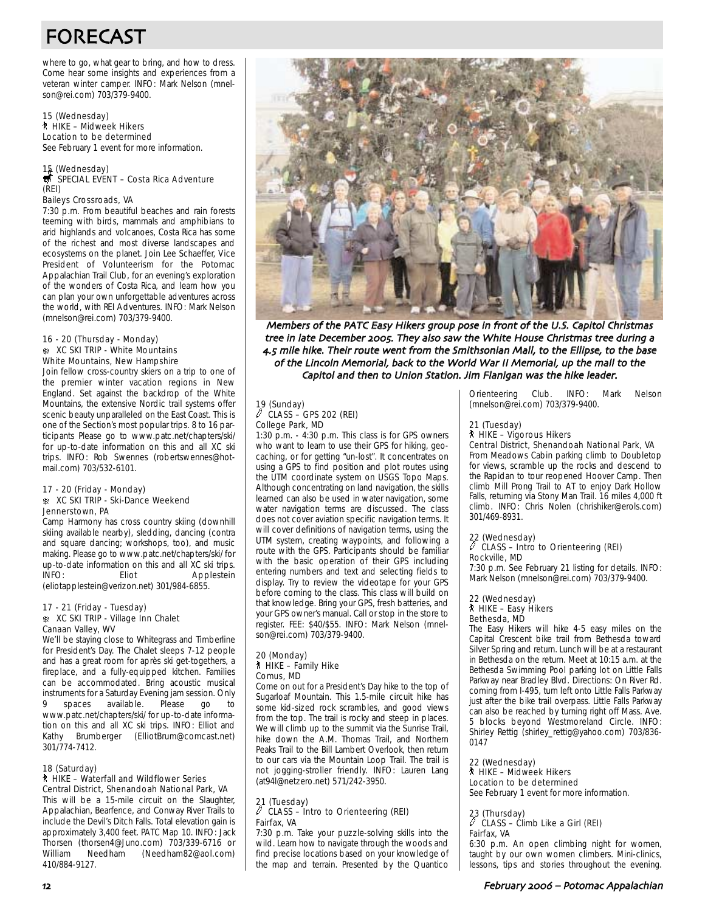# FORECAST

where to go, what gear to bring, and how to dress. Come hear some insights and experiences from a veteran winter camper. INFO: Mark Nelson (mnelson@rei.com) 703/379-9400.

15 (Wednesday) ` HIKE – Midweek Hikers Location to be determined See February 1 event for more information.

## 15 (Wednesday)<br>第 SPECIAL EVENT – Costa Rica Adventure (REI)

Baileys Crossroads, VA

7:30 p.m. From beautiful beaches and rain forests teeming with birds, mammals and amphibians to arid highlands and volcanoes, Costa Rica has some of the richest and most diverse landscapes and ecosystems on the planet. Join Lee Schaeffer, Vice President of Volunteerism for the Potomac Appalachian Trail Club, for an evening's exploration of the wonders of Costa Rica, and learn how you can plan your own unforgettable adventures across the world, with REI Adventures. INFO: Mark Nelson (mnelson@rei.com) 703/379-9400.

#### 16 - 20 (Thursday - Monday) **KC SKI TRIP - White Mountains** White Mountains, New Hampshire

Join fellow cross-country skiers on a trip to one of the premier winter vacation regions in New England. Set against the backdrop of the White Mountains, the extensive Nordic trail systems offer scenic beauty unparalleled on the East Coast. This is one of the Section's most popular trips. 8 to 16 participants Please go to www.patc.net/chapters/ski/ for up-to-date information on this and all XC ski trips. INFO: Rob Swennes (robertswennes@hotmail.com) 703/532-6101.

#### 17 - 20 (Friday - Monday) **K XC SKI TRIP - Ski-Dance Weekend** Jennerstown, PA

Camp Harmony has cross country skiing (downhill skiing available nearby), sledding, dancing (contra and square dancing; workshops, too), and music making. Please go to www.patc.net/chapters/ski/ for up-to-date information on this and all XC ski trips. Eliot Applestein (eliotapplestein@verizon.net) 301/984-6855.

#### 17 - 21 (Friday - Tuesday) A XC SKI TRIP - Village Inn Chalet Canaan Valley, WV

We'll be staying close to Whitegrass and Timberline for President's Day. The Chalet sleeps 7-12 people and has a great room for après ski get-togethers, a fireplace, and a fully-equipped kitchen. Families can be accommodated. Bring acoustic musical instruments for a Saturday Evening jam session. Only spaces available. Please go to www.patc.net/chapters/ski/ for up-to-date information on this and all XC ski trips. INFO: Elliot and Kathy Brumberger (ElliotBrum@comcast.net) 301/774-7412.

#### 18 (Saturday)

#### ` HIKE – Waterfall and Wildflower Series Central District, Shenandoah National Park, VA

This will be a 15-mile circuit on the Slaughter, Appalachian, Bearfence, and Conway River Trails to include the Devil's Ditch Falls. Total elevation gain is approximately 3,400 feet. PATC Map 10. INFO: Jack Thorsen (thorsen4@Juno.com) 703/339-6716 or (Needham82@aol.com) 410/884-9127.



Members of the PATC Easy Hikers group pose in front of the U.S. Capitol Christmas tree in late December 2005. They also saw the White House Christmas tree during a 4.5 mile hike. Their route went from the Smithsonian Mall, to the Ellipse, to the base of the Lincoln Memorial, back to the World War II Memorial, up the mall to the Capitol and then to Union Station. Jim Flanigan was the hike leader.

#### 19 (Sunday)  $\overline{C}$ LASS – GPS 202 (REI) College Park, MD

1:30 p.m. - 4:30 p.m. This class is for GPS owners who want to learn to use their GPS for hiking, geocaching, or for getting "un-lost". It concentrates on using a GPS to find position and plot routes using the UTM coordinate system on USGS Topo Maps. Although concentrating on land navigation, the skills learned can also be used in water navigation, some water navigation terms are discussed. The class does not cover aviation specific navigation terms. It will cover definitions of navigation terms, using the UTM system, creating waypoints, and following a route with the GPS. Participants should be familiar with the basic operation of their GPS including entering numbers and text and selecting fields to display. Try to review the videotape for your GPS before coming to the class. This class will build on that knowledge. Bring your GPS, fresh batteries, and your GPS owner's manual. Call or stop in the store to register. FEE: \$40/\$55. INFO: Mark Nelson (mnelson@rei.com) 703/379-9400.

#### 20 (Monday) ` HIKE – Family Hike Comus, MD

Come on out for a President's Day hike to the top of Sugarloaf Mountain. This 1.5-mile circuit hike has some kid-sized rock scrambles, and good views from the top. The trail is rocky and steep in places. We will climb up to the summit via the Sunrise Trail, hike down the A.M. Thomas Trail, and Northern Peaks Trail to the Bill Lambert Overlook, then return to our cars via the Mountain Loop Trail. The trail is not jogging-stroller friendly. INFO: Lauren Lang (at94l@netzero.net) 571/242-3950.

#### 21 (Tuesday)  $\ell$  CLASS – Intro to Orienteering (REI) Fairfax, VA

7:30 p.m. Take your puzzle-solving skills into the wild. Learn how to navigate through the woods and find precise locations based on your knowledge of the map and terrain. Presented by the Quantico Orienteering Club. INFO: Mark Nelson (mnelson@rei.com) 703/379-9400.

#### 21 (Tuesday) ` HIKE – Vigorous Hikers

Central District, Shenandoah National Park, VA From Meadows Cabin parking climb to Doubletop for views, scramble up the rocks and descend to

the Rapidan to tour reopened Hoover Camp. Then climb Mill Prong Trail to AT to enjoy Dark Hollow Falls, returning via Stony Man Trail. 16 miles 4,000 ft climb. INFO: Chris Nolen (chrishiker@erols.com) 301/469-8931.

## 22 (Wednesday)

#### a CLASS – Intro to Orienteering (REI) Rockville, MD

7:30 p.m. See February 21 listing for details. INFO: Mark Nelson (mnelson@rei.com) 703/379-9400.

#### 22 (Wednesday) ` HIKE – Easy Hikers Bethesda, MD

The Easy Hikers will hike 4-5 easy miles on the Capital Crescent bike trail from Bethesda toward Silver Spring and return. Lunch will be at a restaurant in Bethesda on the return. Meet at 10:15 a.m. at the Bethesda Swimming Pool parking lot on Little Falls Parkway near Bradley Blvd. Directions: On River Rd. coming from I-495, turn left onto Little Falls Parkway just after the bike trail overpass. Little Falls Parkway can also be reached by turning right off Mass. Ave. 5 blocks beyond Westmoreland Circle. INFO: Shirley Rettig (shirley\_rettig@yahoo.com) 703/836- 0147

22 (Wednesday) ` HIKE – Midweek Hikers Location to be determined See February 1 event for more information.

## 23 (Thursday) a CLASS – Climb Like a Girl (REI) Fairfax, VA

6:30 p.m. An open climbing night for women, taught by our own women climbers. Mini-clinics, lessons, tips and stories throughout the evening.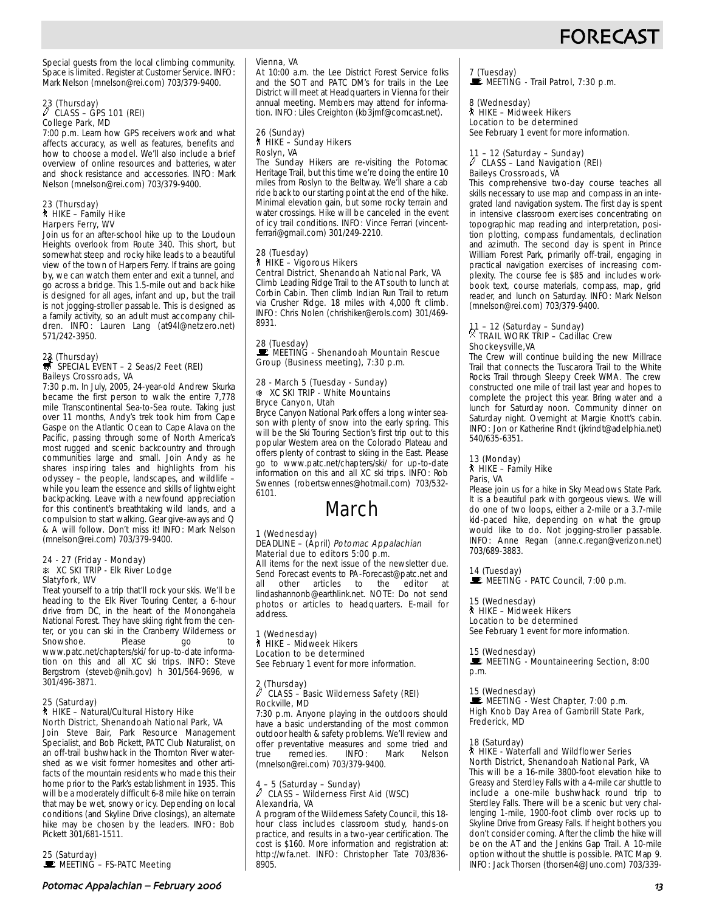# **FORECAS**

Special guests from the local climbing community. Space is limited. Register at Customer Service. INFO: Mark Nelson (mnelson@rei.com) 703/379-9400.

## 23 (Thursday) a CLASS – GPS 101 (REI) College Park, MD

7:00 p.m. Learn how GPS receivers work and what affects accuracy, as well as features, benefits and how to choose a model. We'll also include a brief overview of online resources and batteries, water and shock resistance and accessories. INFO: Mark Nelson (mnelson@rei.com) 703/379-9400.

#### 23 (Thursday) ` HIKE – Family Hike Harpers Ferry, WV

Join us for an after-school hike up to the Loudoun Heights overlook from Route 340. This short, but somewhat steep and rocky hike leads to a beautiful view of the town of Harpers Ferry. If trains are going by, we can watch them enter and exit a tunnel, and go across a bridge. This 1.5-mile out and back hike is designed for all ages, infant and up, but the trail is not jogging-stroller passable. This is designed as a family activity, so an adult must accompany children. INFO: Lauren Lang (at94l@netzero.net) 571/242-3950.

## 23 (Thursday)<br>
SPECIAL EVENT – 2 Seas/2 Feet (REI) Baileys Crossroads, VA

7:30 p.m. In July, 2005, 24-year-old Andrew Skurka became the first person to walk the entire 7,778 mile Transcontinental Sea-to-Sea route. Taking just over 11 months, Andy's trek took him from Cape Gaspe on the Atlantic Ocean to Cape Alava on the Pacific, passing through some of North America's most rugged and scenic backcountry and through communities large and small. Join Andy as he shares inspiring tales and highlights from his odyssey – the people, landscapes, and wildlife – while you learn the essence and skills of lightweight backpacking. Leave with a newfound appreciation for this continent's breathtaking wild lands, and a compulsion to start walking. Gear give-aways and Q & A will follow. Don't miss it! INFO: Mark Nelson (mnelson@rei.com) 703/379-9400.

#### 24 - 27 (Friday - Monday) A XC SKI TRIP - Elk River Lodge Slatyfork, WV

Treat yourself to a trip that'll rock your skis. We'll be heading to the Elk River Touring Center, a 6-hour drive from DC, in the heart of the Monongahela National Forest. They have skiing right from the center, or you can ski in the Cranberry Wilderness or Snowshoe. Please go to www.patc.net/chapters/ski/ for up-to-date information on this and all XC ski trips. INFO: Steve Bergstrom (steveb@nih.gov) h 301/564-9696, w 301/496-3871.

#### 25 (Saturday) ` HIKE – Natural/Cultural History Hike North District, Shenandoah National Park, VA

Join Steve Bair, Park Resource Management Specialist, and Bob Pickett, PATC Club Naturalist, on an off-trail bushwhack in the Thornton River watershed as we visit former homesites and other artifacts of the mountain residents who made this their home prior to the Park's establishment in 1935. This will be a moderately difficult 6-8 mile hike on terrain that may be wet, snowy or icy. Depending on local conditions (and Skyline Drive closings), an alternate hike may be chosen by the leaders. INFO: Bob Pickett 301/681-1511.

25 (Saturday)<br>■ MEETING – FS-PATC Meeting

#### Vienna, VA

At 10:00 a.m. the Lee District Forest Service folks and the SOT and PATC DM's for trails in the Lee District will meet at Headquarters in Vienna for their annual meeting. Members may attend for information. INFO: Liles Creighton (kb3jmf@comcast.net).

#### 26 (Sunday) ` HIKE – Sunday Hikers Roslyn, VA

The Sunday Hikers are re-visiting the Potomac Heritage Trail, but this time we're doing the entire 10 miles from Roslyn to the Beltway. We'll share a cab ride back to our starting point at the end of the hike. Minimal elevation gain, but some rocky terrain and water crossings. Hike will be canceled in the event of icy trail conditions. INFO: Vince Ferrari (vincentferrari@gmail.com) 301/249-2210.

#### 28 (Tuesday) ` HIKE – Vigorous Hikers Central District, Shenandoah National Park, VA

Climb Leading Ridge Trail to the AT south to lunch at Corbin Cabin. Then climb Indian Run Trail to return via Crusher Ridge. 18 miles with 4,000 ft climb. INFO: Chris Nolen (chrishiker@erols.com) 301/469- 8931.

## 28 (Tuesday)

MEETING - Shenandoah Mountain Rescue Group (Business meeting), 7:30 p.m.

#### 28 - March 5 (Tuesday - Sunday) **K XC SKI TRIP - White Mountains** Bryce Canyon, Utah

Bryce Canyon National Park offers a long winter season with plenty of snow into the early spring. This will be the Ski Touring Section's first trip out to this popular Western area on the Colorado Plateau and offers plenty of contrast to skiing in the East. Please go to www.patc.net/chapters/ski/ for up-to-date information on this and all XC ski trips. INFO: Rob Swennes (robertswennes@hotmail.com) 703/532- 6101.

# March

#### 1 (Wednesday) DEADLINE – (April) Potomac Appalachian Material due to editors 5:00 p.m.

All items for the next issue of the newsletter due. Send Forecast events to PA-Forecast@patc.net and all other articles to the editor at articles to lindashannonb@earthlink.net. NOTE: Do not send photos or articles to headquarters. E-mail for address.

## 1 (Wednesday) ` HIKE – Midweek Hikers Location to be determined

See February 1 event for more information.

## 2 (Thursday) a CLASS – Basic Wilderness Safety (REI) Rockville, MD

7:30 p.m. Anyone playing in the outdoors should have a basic understanding of the most common outdoor health & safety problems. We'll review and offer preventative measures and some tried and<br>true remedies. INFO: Mark Nelson true remedies. INFO: Mark Nelson (mnelson@rei.com) 703/379-9400.

## 4 – 5 (Saturday – Sunday) a CLASS – Wilderness First Aid (WSC) Alexandria, VA

A program of the Wilderness Safety Council, this 18 hour class includes classroom study, hands-on practice, and results in a two-year certification. The cost is \$160. More information and registration at: http://wfa.net. INFO: Christopher Tate 703/836- 8905.

7 (Tuesday)  $\mathbb{R}$  MEETING - Trail Patrol, 7:30 p.m.

#### 8 (Wednesday) ` HIKE – Midweek Hikers

Location to be determined See February 1 event for more information.

## 11 – 12 (Saturday – Sunday) a CLASS – Land Navigation (REI) Baileys Crossroads, VA

This comprehensive two-day course teaches all skills necessary to use map and compass in an integrated land navigation system. The first day is spent in intensive classroom exercises concentrating on topographic map reading and interpretation, position plotting, compass fundamentals, declination and azimuth. The second day is spent in Prince William Forest Park, primarily off-trail, engaging in practical navigation exercises of increasing complexity. The course fee is \$85 and includes workbook text, course materials, compass, map, grid reader, and lunch on Saturday. INFO: Mark Nelson (mnelson@rei.com) 703/379-9400.

## 11 – 12 (Saturday – Sunday) . TRAIL WORK TRIP – Cadillac Crew Shockeysville,VA

The Crew will continue building the new Millrace Trail that connects the Tuscarora Trail to the White Rocks Trail through Sleepy Creek WMA. The crew constructed one mile of trail last year and hopes to complete the project this year. Bring water and a lunch for Saturday noon. Community dinner on Saturday night. Overnight at Margie Knott's cabin. INFO: Jon or Katherine Rindt (jkrindt@adelphia.net) 540/635-6351.

#### 13 (Monday)

#### ` HIKE – Family Hike Paris, VA

Please join us for a hike in Sky Meadows State Park. It is a beautiful park with gorgeous views. We will do one of two loops, either a 2-mile or a 3.7-mile kid-paced hike, depending on what the group would like to do. Not jogging-stroller passable. INFO: Anne Regan (anne.c.regan@verizon.net) 703/689-3883.

14 (Tuesday)  $\mathbb E$  MEETING - PATC Council, 7:00 p.m.

#### 15 (Wednesday) ` HIKE – Midweek Hikers

Location to be determined See February 1 event for more information.

#### 15 (Wednesday)

#### MEETING - Mountaineering Section, 8:00 p.m.

#### 15 (Wednesday)

 $\mathbf{E}$  MEETING - West Chapter, 7:00 p.m. High Knob Day Area of Gambrill State Park, Frederick, MD

#### 18 (Saturday)

#### ` HIKE - Waterfall and Wildflower Series North District, Shenandoah National Park, VA

This will be a 16-mile 3800-foot elevation hike to Greasy and Sterdley Falls with a 4-mile car shuttle to include a one-mile bushwhack round trip to Sterdley Falls. There will be a scenic but very challenging 1-mile, 1900-foot climb over rocks up to Skyline Drive from Greasy Falls. If height bothers you don't consider coming. After the climb the hike will be on the AT and the Jenkins Gap Trail. A 10-mile option without the shuttle is possible. PATC Map 9. INFO: Jack Thorsen (thorsen4@Juno.com) 703/339-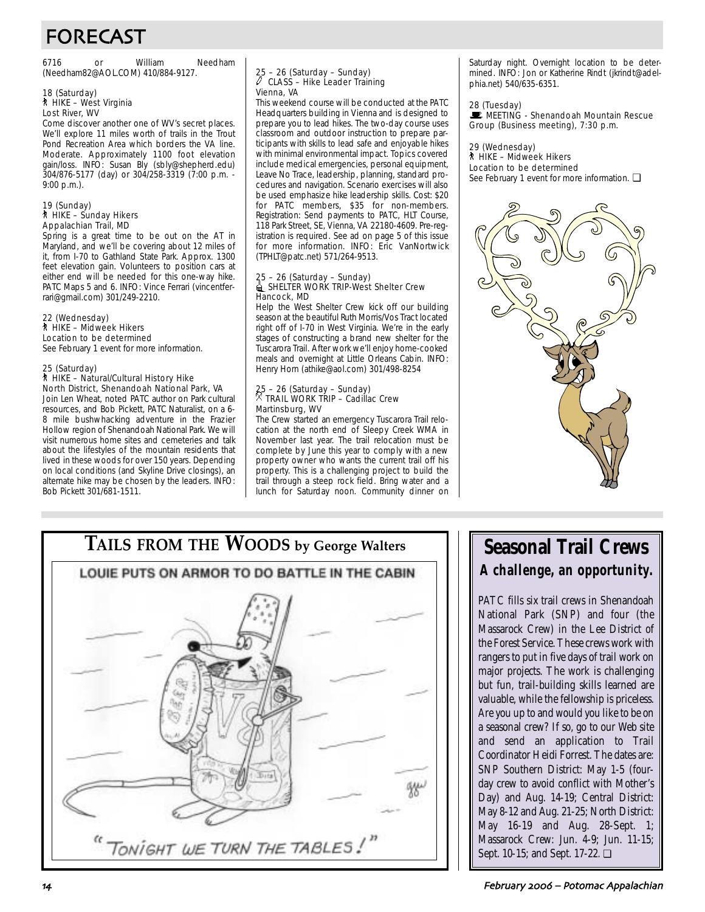# FORECAST

6716 or William Needham (Needham82@AOL.COM) 410/884-9127.

#### 18 (Saturday) ` HIKE – West Virginia Lost River, WV

Come discover another one of WV's secret places. We'll explore 11 miles worth of trails in the Trout Pond Recreation Area which borders the VA line. Moderate. Approximately 1100 foot elevation gain/loss. INFO: Susan Bly (sbly@shepherd.edu) 304/876-5177 (day) or 304/258-3319 (7:00 p.m. - 9:00 p.m.).

#### 19 (Sunday) ` HIKE – Sunday Hikers Appalachian Trail, MD

Spring is a great time to be out on the AT in Maryland, and we'll be covering about 12 miles of it, from I-70 to Gathland State Park. Approx. 1300 feet elevation gain. Volunteers to position cars at either end will be needed for this one-way hike. PATC Maps 5 and 6. INFO: Vince Ferrari (vincentferrari@gmail.com) 301/249-2210.

#### 22 (Wednesday) ` HIKE – Midweek Hikers Location to be determined

See February 1 event for more information.

#### 25 (Saturday) ` HIKE – Natural/Cultural History Hike

North District, Shenandoah National Park, VA Join Len Wheat, noted PATC author on Park cultural resources, and Bob Pickett, PATC Naturalist, on a 6- 8 mile bushwhacking adventure in the Frazier Hollow region of Shenandoah National Park. We will visit numerous home sites and cemeteries and talk about the lifestyles of the mountain residents that lived in these woods for over 150 years. Depending on local conditions (and Skyline Drive closings), an alternate hike may be chosen by the leaders. INFO: Bob Pickett 301/681-1511.

#### 25 – 26 (Saturday – Sunday) CLASS - Hike Leader Training Vienna, VA

This weekend course will be conducted at the PATC Headquarters building in Vienna and is designed to prepare you to lead hikes. The two-day course uses classroom and outdoor instruction to prepare participants with skills to lead safe and enjoyable hikes with minimal environmental impact. Topics covered include medical emergencies, personal equipment, Leave No Trace, leadership, planning, standard procedures and navigation. Scenario exercises will also be used emphasize hike leadership skills. Cost: \$20 for PATC members, \$35 for non-members. Registration: Send payments to PATC, HLT Course, 118 Park Street, SE, Vienna, VA 22180-4609. Pre-registration is required. See ad on page 5 of this issue for more information. INFO: Eric VanNortwick (TPHLT@patc.net) 571/264-9513.

#### 25 – 26 (Saturday – Sunday) **In SHELTER WORK TRIP-West Shelter Crew** Hancock, MD

Help the West Shelter Crew kick off our building season at the beautiful Ruth Morris/Vos Tract located right off of I-70 in West Virginia. We're in the early stages of constructing a brand new shelter for the Tuscarora Trail. After work we'll enjoy home-cooked meals and overnight at Little Orleans Cabin. INFO: Henry Horn (athike@aol.com) 301/498-8254

## 25 – 26 (Saturday – Sunday) . TRAIL WORK TRIP – Cadillac Crew Martinsburg, WV

The Crew started an emergency Tuscarora Trail relocation at the north end of Sleepy Creek WMA in November last year. The trail relocation must be complete by June this year to comply with a new property owner who wants the current trail off his property. This is a challenging project to build the trail through a steep rock field. Bring water and a lunch for Saturday noon. Community dinner on

Saturday night. Overnight location to be determined. INFO: Jon or Katherine Rindt (jkrindt@adelphia.net) 540/635-6351.

28 (Tuesday)<br>■ MEETING - Shenandoah Mountain Rescue Group (Business meeting), 7:30 p.m.

#### 29 (Wednesday)

` HIKE – Midweek Hikers

Location to be determined See February 1 event for more information. □





# **Seasonal Trail Crews A challenge, an opportunity.**

PATC fills six trail crews in Shenandoah National Park (SNP) and four (the Massarock Crew) in the Lee District of the Forest Service. These crews work with rangers to put in five days of trail work on major projects. The work is challenging but fun, trail-building skills learned are valuable, while the fellowship is priceless. Are you up to and would you like to be on a seasonal crew? If so, go to our Web site and send an application to Trail Coordinator Heidi Forrest. The dates are: SNP Southern District: May 1-5 (fourday crew to avoid conflict with Mother's Day) and Aug. 14-19; Central District: May 8-12 and Aug. 21-25; North District: May 16-19 and Aug. 28-Sept. 1; Massarock Crew: Jun. 4-9; Jun. 11-15; Sept. 10-15; and Sept. 17-22. ❏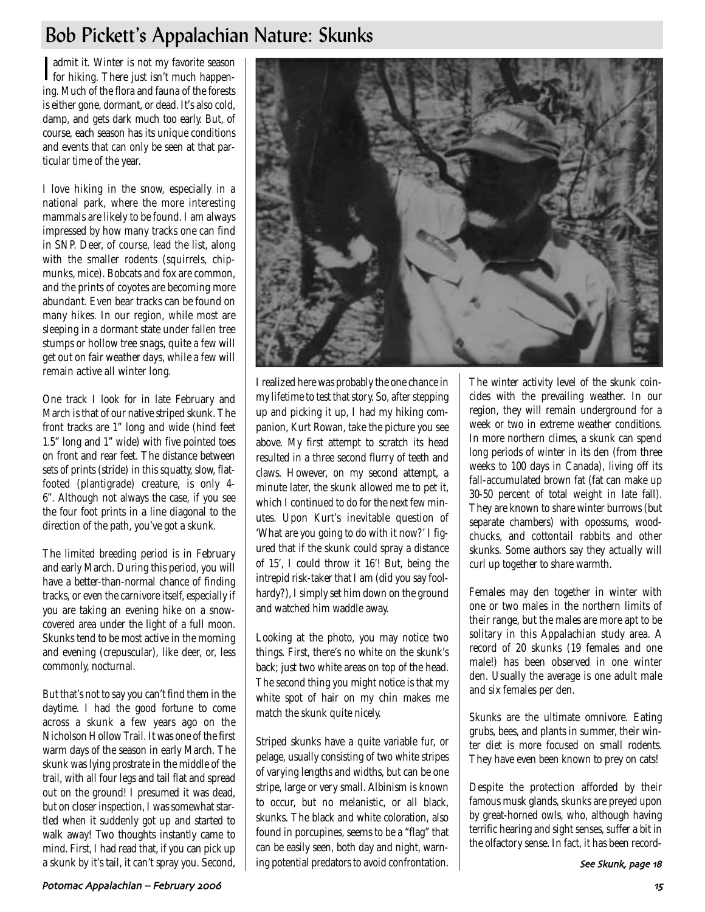# Bob Pickett's Appalachian Nature: Skunks

I admit it. Winter is not my favorite season<br>for hiking. There just isn't much happenadmit it. Winter is not my favorite season ing. Much of the flora and fauna of the forests is either gone, dormant, or dead. It's also cold, damp, and gets dark much too early. But, of course, each season has its unique conditions and events that can only be seen at that particular time of the year.

I love hiking in the snow, especially in a national park, where the more interesting mammals are likely to be found. I am always impressed by how many tracks one can find in SNP. Deer, of course, lead the list, along with the smaller rodents (squirrels, chipmunks, mice). Bobcats and fox are common, and the prints of coyotes are becoming more abundant. Even bear tracks can be found on many hikes. In our region, while most are sleeping in a dormant state under fallen tree stumps or hollow tree snags, quite a few will get out on fair weather days, while a few will remain active all winter long.

One track I look for in late February and March is that of our native striped skunk. The front tracks are 1" long and wide (hind feet 1.5" long and 1" wide) with five pointed toes on front and rear feet. The distance between sets of prints (stride) in this squatty, slow, flatfooted (plantigrade) creature, is only 4- 6". Although not always the case, if you see the four foot prints in a line diagonal to the direction of the path, you've got a skunk.

The limited breeding period is in February and early March. During this period, you will have a better-than-normal chance of finding tracks, or even the carnivore itself, especially if you are taking an evening hike on a snowcovered area under the light of a full moon. Skunks tend to be most active in the morning and evening (crepuscular), like deer, or, less commonly, nocturnal.

But that's not to say you can't find them in the daytime. I had the good fortune to come across a skunk a few years ago on the Nicholson Hollow Trail. It was one of the first warm days of the season in early March. The skunk was lying prostrate in the middle of the trail, with all four legs and tail flat and spread out on the ground! I presumed it was dead, but on closer inspection, I was somewhat startled when it suddenly got up and started to walk away! Two thoughts instantly came to mind. First, I had read that, if you can pick up a skunk by it's tail, it can't spray you. Second,



I realized here was probably the one chance in my lifetime to test that story. So, after stepping up and picking it up, I had my hiking companion, Kurt Rowan, take the picture you see above. My first attempt to scratch its head resulted in a three second flurry of teeth and claws. However, on my second attempt, a minute later, the skunk allowed me to pet it, which I continued to do for the next few minutes. Upon Kurt's inevitable question of 'What are you going to do with it now?' I figured that if the skunk could spray a distance of 15', I could throw it 16'! But, being the intrepid risk-taker that I am (did you say foolhardy?), I simply set him down on the ground and watched him waddle away.

Looking at the photo, you may notice two things. First, there's no white on the skunk's back; just two white areas on top of the head. The second thing you might notice is that my white spot of hair on my chin makes me match the skunk quite nicely.

Striped skunks have a quite variable fur, or pelage, usually consisting of two white stripes of varying lengths and widths, but can be one stripe, large or very small. Albinism is known to occur, but no melanistic, or all black, skunks. The black and white coloration, also found in porcupines, seems to be a "flag" that can be easily seen, both day and night, warning potential predators to avoid confrontation.

The winter activity level of the skunk coincides with the prevailing weather. In our region, they will remain underground for a week or two in extreme weather conditions. In more northern climes, a skunk can spend long periods of winter in its den (from three weeks to 100 days in Canada), living off its fall-accumulated brown fat (fat can make up 30-50 percent of total weight in late fall). They are known to share winter burrows (but separate chambers) with opossums, woodchucks, and cottontail rabbits and other skunks. Some authors say they actually will curl up together to share warmth.

Females may den together in winter with one or two males in the northern limits of their range, but the males are more apt to be solitary in this Appalachian study area. A record of 20 skunks (19 females and one male!) has been observed in one winter den. Usually the average is one adult male and six females per den.

Skunks are the ultimate omnivore. Eating grubs, bees, and plants in summer, their winter diet is more focused on small rodents. They have even been known to prey on cats!

Despite the protection afforded by their famous musk glands, skunks are preyed upon by great-horned owls, who, although having terrific hearing and sight senses, suffer a bit in the olfactory sense. In fact, it has been record-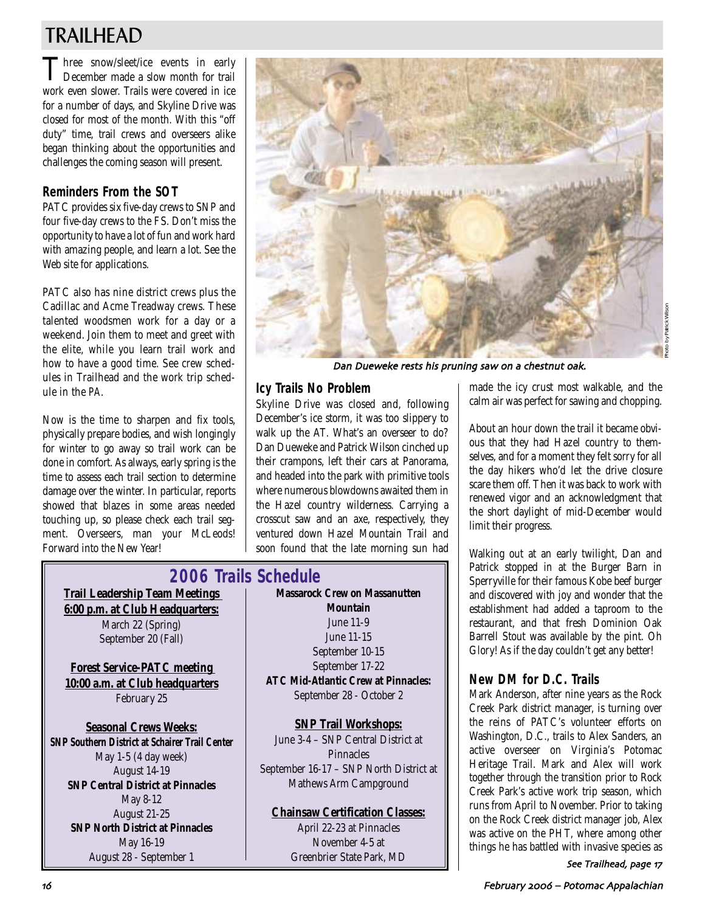# TRAILHEAD

Three snow/sleet/ice events in early<br>December made a slow month for trail work even slower. Trails were covered in ice for a number of days, and Skyline Drive was closed for most of the month. With this "off duty" time, trail crews and overseers alike began thinking about the opportunities and challenges the coming season will present.

## **Reminders From the SOT**

PATC provides six five-day crews to SNP and four five-day crews to the FS. Don't miss the opportunity to have a lot of fun and work hard with amazing people, and learn a lot. See the Web site for applications.

PATC also has nine district crews plus the Cadillac and Acme Treadway crews. These talented woodsmen work for a day or a weekend. Join them to meet and greet with the elite, while you learn trail work and how to have a good time. See crew schedules in Trailhead and the work trip schedule in the *PA*.

Now is the time to sharpen and fix tools, physically prepare bodies, and wish longingly for winter to go away so trail work can be done in comfort. As always, early spring is the time to assess each trail section to determine damage over the winter. In particular, reports showed that blazes in some areas needed touching up, so please check each trail segment. Overseers, man your McLeods! Forward into the New Year!



Dan Dueweke rests his pruning saw on a chestnut oak

## **Icy Trails No Problem**

Skyline Drive was closed and, following December's ice storm, it was too slippery to walk up the AT. What's an overseer to do? Dan Dueweke and Patrick Wilson cinched up their crampons, left their cars at Panorama, and headed into the park with primitive tools where numerous blowdowns awaited them in the Hazel country wilderness. Carrying a crosscut saw and an axe, respectively, they ventured down Hazel Mountain Trail and soon found that the late morning sun had

**Trail Leadership Team Meetings 6:00 p.m. at Club Headquarters:** March 22 (Spring) September 20 (Fall) **2006 Trails Schedule**

**Forest Service-PATC meeting 10:00 a.m. at Club headquarters** February 25

**Seasonal Crews Weeks: SNP Southern District at Schairer Trail Center** May 1-5 (4 day week) August 14-19 **SNP Central District at Pinnacles** May 8-12 August 21-25 **SNP North District at Pinnacles** May 16-19 August 28 - September 1

**Massarock Crew on Massanutten Mountain** June 11-9 June 11-15 September 10-15 September 17-22 **ATC Mid-Atlantic Crew at Pinnacles:** September 28 - October 2

**SNP Trail Workshops:** June 3-4 – SNP Central District at **Pinnacles** September 16-17 – SNP North District at Mathews Arm Campground

## **Chainsaw Certification Classes:**

April 22-23 at Pinnacles November 4-5 at Greenbrier State Park, MD made the icy crust most walkable, and the calm air was perfect for sawing and chopping.

About an hour down the trail it became obvious that they had Hazel country to themselves, and for a moment they felt sorry for all the day hikers who'd let the drive closure scare them off. Then it was back to work with renewed vigor and an acknowledgment that the short daylight of mid-December would limit their progress.

Walking out at an early twilight, Dan and Patrick stopped in at the Burger Barn in Sperryville for their famous Kobe beef burger and discovered with joy and wonder that the establishment had added a taproom to the restaurant, and that fresh Dominion Oak Barrell Stout was available by the pint. Oh Glory! As if the day couldn't get any better!

## **New DM for D.C. Trails**

Mark Anderson, after nine years as the Rock Creek Park district manager, is turning over the reins of PATC's volunteer efforts on Washington, D.C., trails to Alex Sanders, an active overseer on Virginia's Potomac Heritage Trail. Mark and Alex will work together through the transition prior to Rock Creek Park's active work trip season, which runs from April to November. Prior to taking on the Rock Creek district manager job, Alex was active on the PHT, where among other things he has battled with invasive species as

See Trailhead, page 17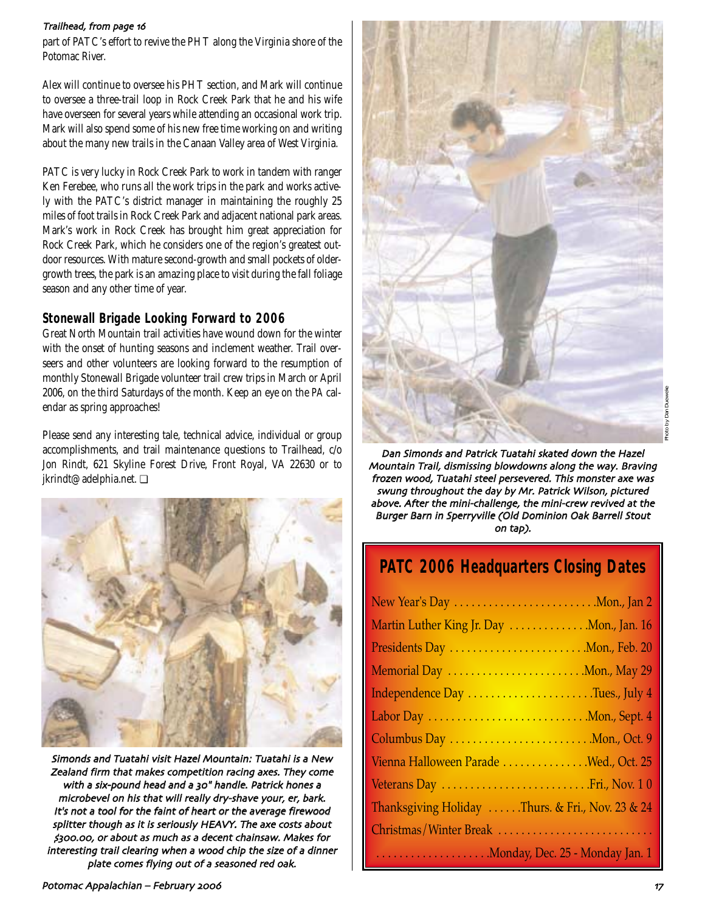#### Trailhead, from page 16

part of PATC's effort to revive the PHT along the Virginia shore of the Potomac River.

Alex will continue to oversee his PHT section, and Mark will continue to oversee a three-trail loop in Rock Creek Park that he and his wife have overseen for several years while attending an occasional work trip. Mark will also spend some of his new free time working on and writing about the many new trails in the Canaan Valley area of West Virginia.

PATC is very lucky in Rock Creek Park to work in tandem with ranger Ken Ferebee, who runs all the work trips in the park and works actively with the PATC's district manager in maintaining the roughly 25 miles of foot trails in Rock Creek Park and adjacent national park areas. Mark's work in Rock Creek has brought him great appreciation for Rock Creek Park, which he considers one of the region's greatest outdoor resources. With mature second-growth and small pockets of oldergrowth trees, the park is an amazing place to visit during the fall foliage season and any other time of year.

## **Stonewall Brigade Looking Forward to 2006**

Great North Mountain trail activities have wound down for the winter with the onset of hunting seasons and inclement weather. Trail overseers and other volunteers are looking forward to the resumption of monthly Stonewall Brigade volunteer trail crew trips in March or April 2006, on the third Saturdays of the month. Keep an eye on the *PA* calendar as spring approaches!

Please send any interesting tale, technical advice, individual or group accomplishments, and trail maintenance questions to Trailhead, c/o Jon Rindt, 621 Skyline Forest Drive, Front Royal, VA 22630 or to jkrindt@adelphia.net. ❏



Simonds and Tuatahi visit Hazel Mountain: Tuatahi is a New Zealand firm that makes competition racing axes. They come with a six-pound head and a 30" handle. Patrick hones a microbevel on his that will really dry-shave your, er, bark. It's not a tool for the faint of heart or the average firewood splitter though as it is seriously HEAVY. The axe costs about (#### or about as much as a decent chainsaw Makes for interesting trail clearing when a wood chip the size of a dinner plate comes flying out of a seasoned red oak



Dan Simonds and Patrick Tuatahi skated down the Hazel Mountain Trail, dismissing blowdowns along the way. Braving frozen wood, Tuatahi steel persevered. This monster axe was swung throughout the day by Mr. Patrick Wilson, pictured above. After the mini-challenge, the mini-crew revived at the Burger Barn in Sperryville (Old Dominion Oak Barrell Stout on tap)

## **PATC 2006 Headquarters Closing Dates**

| New Year's Day Mon., Jan 2                       |
|--------------------------------------------------|
| Martin Luther King Jr. Day Mon., Jan. 16         |
| Presidents Day Mon., Feb. 20                     |
| Memorial Day Mon., May 29                        |
| Independence Day Tues., July 4                   |
| Labor Day Mon., Sept. 4                          |
|                                                  |
| Vienna Halloween Parade Wed., Oct. 25            |
| Veterans Day  Fri., Nov. 10                      |
| Thanksgiving Holiday Thurs. & Fri., Nov. 23 & 24 |
| Christmas/Winter Break                           |
|                                                  |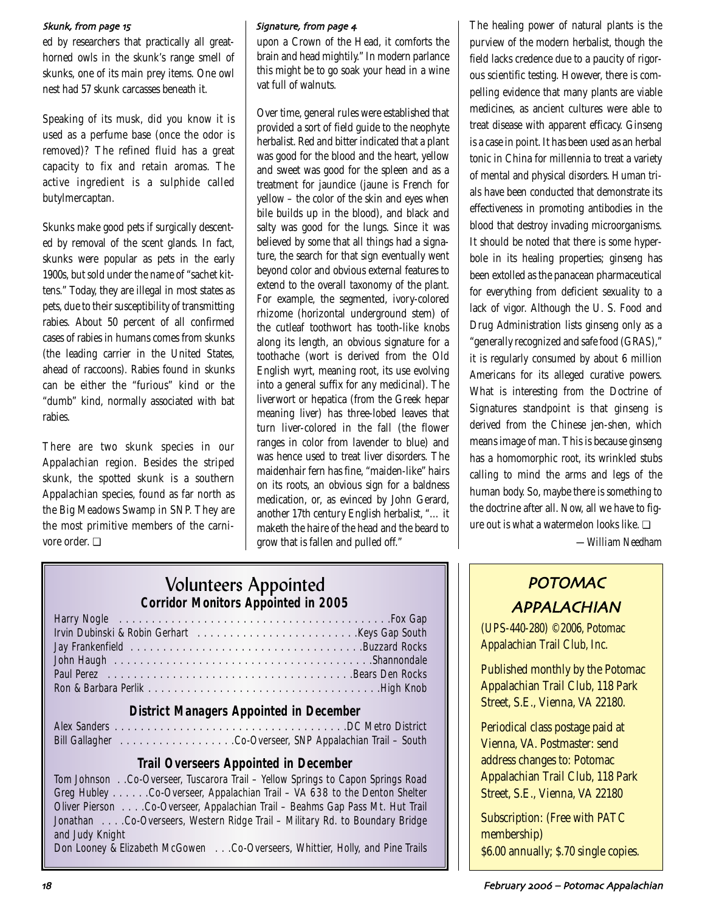#### Skunk, from page 15

ed by researchers that practically all greathorned owls in the skunk's range smell of skunks, one of its main prey items. One owl nest had 57 skunk carcasses beneath it.

Speaking of its musk, did you know it is used as a perfume base (once the odor is removed)? The refined fluid has a great capacity to fix and retain aromas. The active ingredient is a sulphide called butylmercaptan.

Skunks make good pets if surgically descented by removal of the scent glands. In fact, skunks were popular as pets in the early 1900s, but sold under the name of "sachet kittens." Today, they are illegal in most states as pets, due to their susceptibility of transmitting rabies. About 50 percent of all confirmed cases of rabies in humans comes from skunks (the leading carrier in the United States, ahead of raccoons). Rabies found in skunks can be either the "furious" kind or the "dumb" kind, normally associated with bat rabies.

There are two skunk species in our Appalachian region. Besides the striped skunk, the spotted skunk is a southern Appalachian species, found as far north as the Big Meadows Swamp in SNP. They are the most primitive members of the carnivore order. ❏

#### Signature, from page 4

upon a Crown of the Head, it comforts the brain and head mightily." In modern parlance this might be to go soak your head in a wine vat full of walnuts.

Over time, general rules were established that provided a sort of field guide to the neophyte herbalist. Red and bitter indicated that a plant was good for the blood and the heart, yellow and sweet was good for the spleen and as a treatment for jaundice (jaune is French for yellow – the color of the skin and eyes when bile builds up in the blood), and black and salty was good for the lungs. Since it was believed by some that all things had a signature, the search for that sign eventually went beyond color and obvious external features to extend to the overall taxonomy of the plant. For example, the segmented, ivory-colored rhizome (horizontal underground stem) of the cutleaf toothwort has tooth-like knobs along its length, an obvious signature for a toothache (wort is derived from the Old English wyrt, meaning root, its use evolving into a general suffix for any medicinal). The liverwort or hepatica (from the Greek hepar meaning liver) has three-lobed leaves that turn liver-colored in the fall (the flower ranges in color from lavender to blue) and was hence used to treat liver disorders. The maidenhair fern has fine, "maiden-like" hairs on its roots, an obvious sign for a baldness medication, or, as evinced by John Gerard, another 17th century English herbalist, "… it maketh the haire of the head and the beard to grow that is fallen and pulled off."

The healing power of natural plants is the purview of the modern herbalist, though the field lacks credence due to a paucity of rigorous scientific testing. However, there is compelling evidence that many plants are viable medicines, as ancient cultures were able to treat disease with apparent efficacy. Ginseng is a case in point. It has been used as an herbal tonic in China for millennia to treat a variety of mental and physical disorders. Human trials have been conducted that demonstrate its effectiveness in promoting antibodies in the blood that destroy invading microorganisms. It should be noted that there is some hyperbole in its healing properties; ginseng has been extolled as the panacean pharmaceutical for everything from deficient sexuality to a lack of vigor. Although the U. S. Food and Drug Administration lists ginseng only as a "generally recognized and safe food (GRAS)," it is regularly consumed by about 6 million Americans for its alleged curative powers. What is interesting from the Doctrine of Signatures standpoint is that ginseng is derived from the Chinese jen-shen, which means image of man. This is because ginseng has a homomorphic root, its wrinkled stubs calling to mind the arms and legs of the human body. So, maybe there is something to the doctrine after all. Now, all we have to figure out is what a watermelon looks like. ❏

*—William Needham*

## POTOMAC APPALACHIAN

(UPS-440-280) ©2006, Potomac Appalachian Trail Club, Inc.

Published monthly by the Potomac Appalachian Trail Club, 118 Park Street, S.E., Vienna, VA 22180.

Periodical class postage paid at Vienna, VA. Postmaster: send address changes to: Potomac Appalachian Trail Club, 118 Park Street, S.E., Vienna, VA 22180

Subscription: (Free with PATC membership) \$6.00 annually; \$.70 single copies.

## Volunteers Appointed *Corridor Monitors Appointed in 2005*

## *District Managers Appointed in December*

Alex Sanders . . . . . . . . . . . . . . . . . . . . . . . . . . . . . . . . . . . .DC Metro District Bill Gallagher . . . . . . . . . . . . . . . . . .Co-Overseer, SNP Appalachian Trail – South

## *Trail Overseers Appointed in December*

| Tom Johnson Co-Overseer, Tuscarora Trail - Yellow Springs to Capon Springs Road |  |  |  |  |  |
|---------------------------------------------------------------------------------|--|--|--|--|--|
| Greg Hubley Co-Overseer, Appalachian Trail - VA 638 to the Denton Shelter       |  |  |  |  |  |
| Oliver Pierson Co-Overseer, Appalachian Trail – Beahms Gap Pass Mt. Hut Trail   |  |  |  |  |  |
| Jonathan Co-Overseers, Western Ridge Trail - Military Rd. to Boundary Bridge    |  |  |  |  |  |
| and Judy Knight                                                                 |  |  |  |  |  |
| <b>DI ATHLIJIC CO. ITHOUTH IN THE</b>                                           |  |  |  |  |  |

Don Looney & Elizabeth McGowen . . .Co-Overseers, Whittier, Holly, and Pine Trails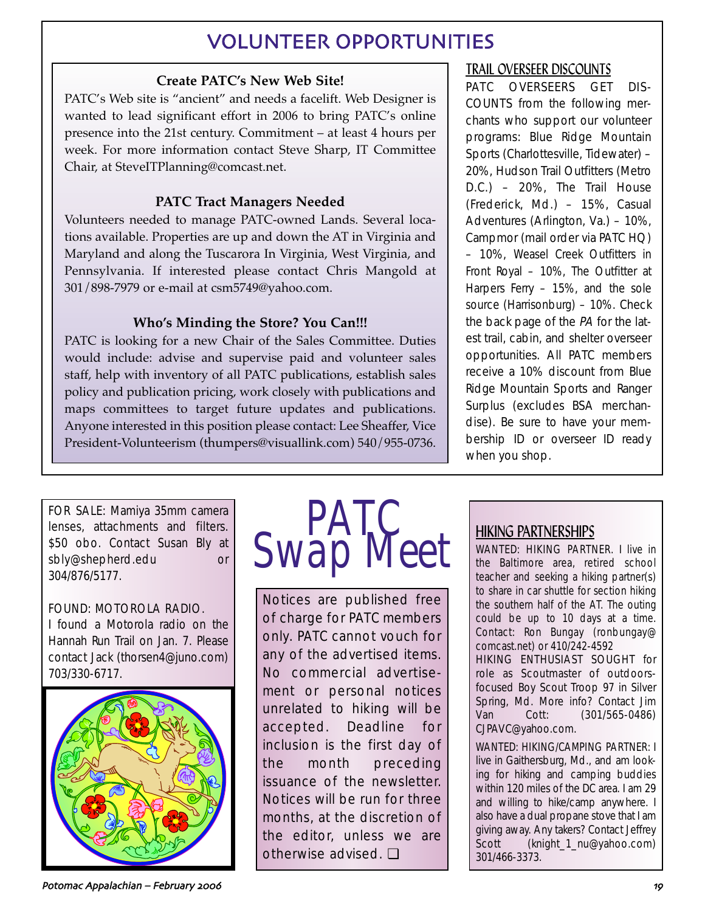# VOLUNTEER OPPORTUNITIES

## **Create PATC's New Web Site!**

PATC's Web site is "ancient" and needs a facelift. Web Designer is wanted to lead significant effort in 2006 to bring PATC's online presence into the 21st century. Commitment – at least 4 hours per week. For more information contact Steve Sharp, IT Committee Chair, at SteveITPlanning@comcast.net.

## **PATC Tract Managers Needed**

Volunteers needed to manage PATC-owned Lands. Several locations available. Properties are up and down the AT in Virginia and Maryland and along the Tuscarora In Virginia, West Virginia, and Pennsylvania. If interested please contact Chris Mangold at 301/898-7979 or e-mail at csm5749@yahoo.com.

## **Who's Minding the Store? You Can!!!**

PATC is looking for a new Chair of the Sales Committee. Duties would include: advise and supervise paid and volunteer sales staff, help with inventory of all PATC publications, establish sales policy and publication pricing, work closely with publications and maps committees to target future updates and publications. Anyone interested in this position please contact: Lee Sheaffer, Vice President-Volunteerism (thumpers@visuallink.com) 540/955-0736.

## TRAIL OVERSEER DISCOUNTS

PATC OVERSEERS GET DIS-COUNTS from the following merchants who support our volunteer programs: Blue Ridge Mountain Sports (Charlottesville, Tidewater) – 20%, Hudson Trail Outfitters (Metro D.C.) – 20%, The Trail House (Frederick, Md.) – 15%, Casual Adventures (Arlington, Va.) – 10%, Campmor (mail order via PATC HQ) – 10%, Weasel Creek Outfitters in Front Royal – 10%, The Outfitter at Harpers Ferry – 15%, and the sole source (Harrisonburg) – 10%. Check the back page of the PA for the latest trail, cabin, and shelter overseer opportunities. All PATC members receive a 10% discount from Blue Ridge Mountain Sports and Ranger Surplus (excludes BSA merchandise). Be sure to have your membership ID or overseer ID ready when you shop.

FOR SALE: Mamiya 35mm camera lenses, attachments and filters. \$50 obo. Contact Susan Bly at sbly@shepherd.edu or 304/876/5177.

## FOUND: MOTOROLA RADIO.

I found a Motorola radio on the Hannah Run Trail on Jan. 7. Please contact Jack (thorsen4@juno.com) 703/330-6717.





Notices are published free of charge for PATC members only. PATC cannot vouch for any of the advertised items. No commercial advertisement or personal notices unrelated to hiking will be accepted. Deadline for inclusion is the first day of the month preceding issuance of the newsletter. Notices will be run for three months, at the discretion of the editor, unless we are otherwise advised. ❏

# HIKING PARTNERSHIPS

WANTED: HIKING PARTNER. I live in the Baltimore area, retired school teacher and seeking a hiking partner(s) to share in car shuttle for section hiking the southern half of the AT. The outing could be up to 10 days at a time. Contact: Ron Bungay (ronbungay@ comcast.net) or 410/242-4592

HIKING ENTHUSIAST SOUGHT for role as Scoutmaster of outdoorsfocused Boy Scout Troop 97 in Silver Spring, Md. More info? Contact Jim Van Cott: (301/565-0486) CJPAVC@yahoo.com.

WANTED: HIKING/CAMPING PARTNER: I live in Gaithersburg, Md., and am looking for hiking and camping buddies within 120 miles of the DC area. I am 29 and willing to hike/camp anywhere. I also have a dual propane stove that I am giving away. Any takers? Contact Jeffrey Scott (knight\_1\_nu@yahoo.com) 301/466-3373.